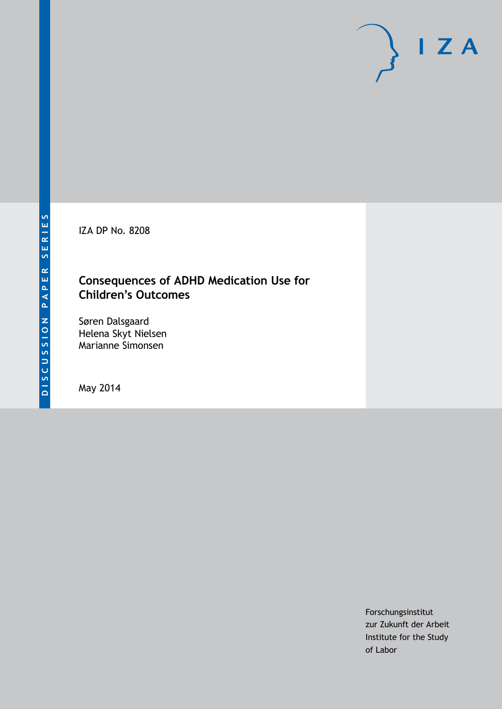IZA DP No. 8208

# **Consequences of ADHD Medication Use for Children's Outcomes**

Søren Dalsgaard Helena Skyt Nielsen Marianne Simonsen

May 2014

Forschungsinstitut zur Zukunft der Arbeit Institute for the Study of Labor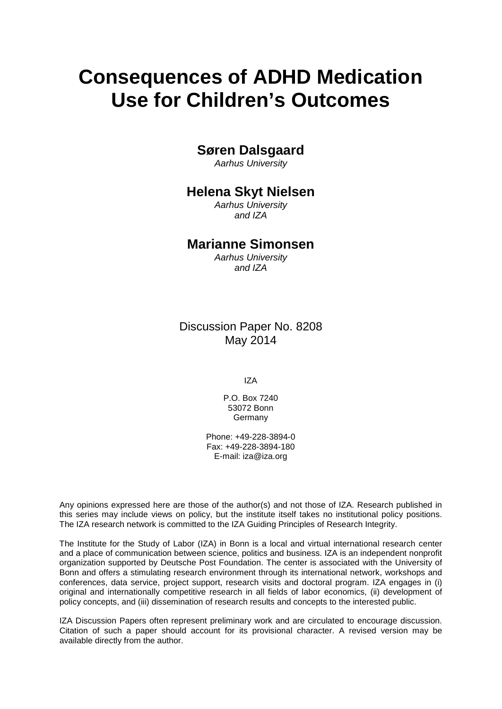# **Consequences of ADHD Medication Use for Children's Outcomes**

### **Søren Dalsgaard**

*Aarhus University*

# **Helena Skyt Nielsen**

*Aarhus University and IZA*

### **Marianne Simonsen**

*Aarhus University and IZA*

Discussion Paper No. 8208 May 2014

IZA

P.O. Box 7240 53072 Bonn Germany

Phone: +49-228-3894-0 Fax: +49-228-3894-180 E-mail: [iza@iza.org](mailto:iza@iza.org)

Any opinions expressed here are those of the author(s) and not those of IZA. Research published in this series may include views on policy, but the institute itself takes no institutional policy positions. The IZA research network is committed to the IZA Guiding Principles of Research Integrity.

The Institute for the Study of Labor (IZA) in Bonn is a local and virtual international research center and a place of communication between science, politics and business. IZA is an independent nonprofit organization supported by Deutsche Post Foundation. The center is associated with the University of Bonn and offers a stimulating research environment through its international network, workshops and conferences, data service, project support, research visits and doctoral program. IZA engages in (i) original and internationally competitive research in all fields of labor economics, (ii) development of policy concepts, and (iii) dissemination of research results and concepts to the interested public.

<span id="page-1-0"></span>IZA Discussion Papers often represent preliminary work and are circulated to encourage discussion. Citation of such a paper should account for its provisional character. A revised version may be available directly from the author.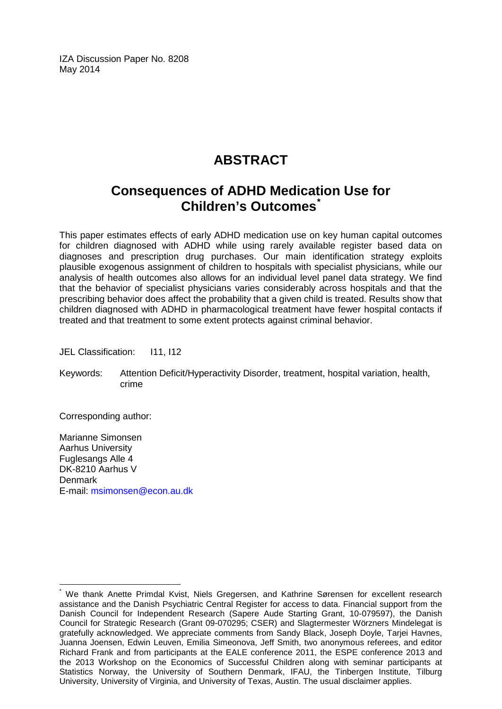IZA Discussion Paper No. 8208 May 2014

# **ABSTRACT**

# **Consequences of ADHD Medication Use for Children's Outcomes[\\*](#page-1-0)**

This paper estimates effects of early ADHD medication use on key human capital outcomes for children diagnosed with ADHD while using rarely available register based data on diagnoses and prescription drug purchases. Our main identification strategy exploits plausible exogenous assignment of children to hospitals with specialist physicians, while our analysis of health outcomes also allows for an individual level panel data strategy. We find that the behavior of specialist physicians varies considerably across hospitals and that the prescribing behavior does affect the probability that a given child is treated. Results show that children diagnosed with ADHD in pharmacological treatment have fewer hospital contacts if treated and that treatment to some extent protects against criminal behavior.

JEL Classification: 111, 112

Keywords: Attention Deficit/Hyperactivity Disorder, treatment, hospital variation, health, crime

Corresponding author:

Marianne Simonsen Aarhus University Fuglesangs Alle 4 DK-8210 Aarhus V Denmark E-mail: [msimonsen@econ.au.dk](mailto:msimonsen@econ.au.dk)

We thank Anette Primdal Kvist, Niels Gregersen, and Kathrine Sørensen for excellent research assistance and the Danish Psychiatric Central Register for access to data. Financial support from the Danish Council for Independent Research (Sapere Aude Starting Grant, 10-079597), the Danish Council for Strategic Research (Grant 09-070295; CSER) and Slagtermester Wörzners Mindelegat is gratefully acknowledged. We appreciate comments from Sandy Black, Joseph Doyle, Tarjei Havnes, Juanna Joensen, Edwin Leuven, Emilia Simeonova, Jeff Smith, two anonymous referees, and editor Richard Frank and from participants at the EALE conference 2011, the ESPE conference 2013 and the 2013 Workshop on the Economics of Successful Children along with seminar participants at Statistics Norway, the University of Southern Denmark, IFAU, the Tinbergen Institute, Tilburg University, University of Virginia, and University of Texas, Austin. The usual disclaimer applies.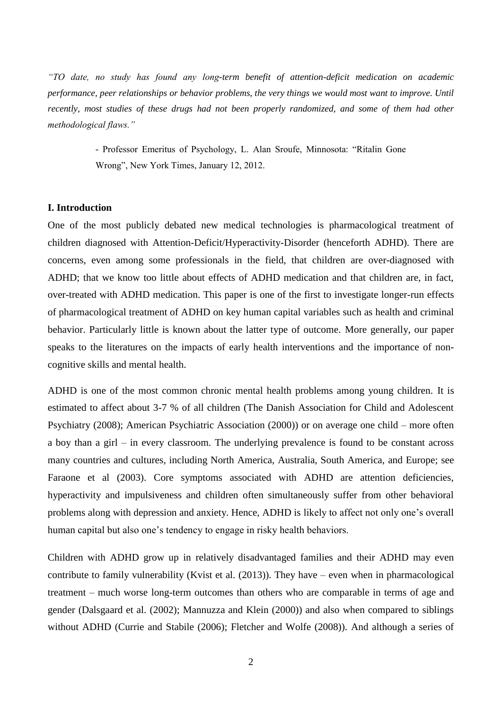*"TO date, no study has found any long-term benefit of attention-deficit medication on academic performance, peer relationships or behavior problems, the very things we would most want to improve. Until recently, most studies of these drugs had not been properly randomized, and some of them had other methodological flaws."*

> - Professor Emeritus of Psychology, L. Alan Sroufe, Minnosota: "Ritalin Gone Wrong", New York Times, January 12, 2012.

#### **I. Introduction**

One of the most publicly debated new medical technologies is pharmacological treatment of children diagnosed with Attention-Deficit/Hyperactivity-Disorder (henceforth ADHD). There are concerns, even among some professionals in the field, that children are over-diagnosed with ADHD; that we know too little about effects of ADHD medication and that children are, in fact, over-treated with ADHD medication. This paper is one of the first to investigate longer-run effects of pharmacological treatment of ADHD on key human capital variables such as health and criminal behavior. Particularly little is known about the latter type of outcome. More generally, our paper speaks to the literatures on the impacts of early health interventions and the importance of noncognitive skills and mental health.

ADHD is one of the most common chronic mental health problems among young children. It is estimated to affect about 3-7 % of all children (The Danish Association for Child and Adolescent Psychiatry (2008); American Psychiatric Association (2000)) or on average one child – more often a boy than a girl – in every classroom. The underlying prevalence is found to be constant across many countries and cultures, including North America, Australia, South America, and Europe; see Faraone et al (2003). Core symptoms associated with ADHD are attention deficiencies, hyperactivity and impulsiveness and children often simultaneously suffer from other behavioral problems along with depression and anxiety. Hence, ADHD is likely to affect not only one's overall human capital but also one's tendency to engage in risky health behaviors.

Children with ADHD grow up in relatively disadvantaged families and their ADHD may even contribute to family vulnerability (Kvist et al. (2013)). They have – even when in pharmacological treatment – much worse long-term outcomes than others who are comparable in terms of age and gender (Dalsgaard et al. (2002); Mannuzza and Klein (2000)) and also when compared to siblings without ADHD (Currie and Stabile (2006); Fletcher and Wolfe (2008)). And although a series of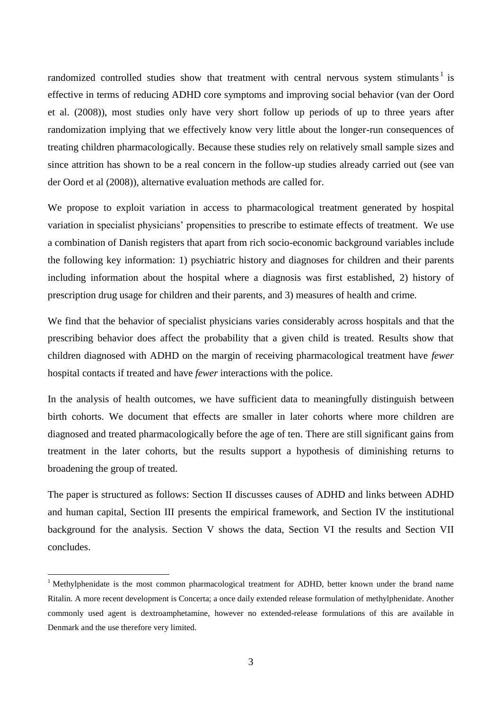randomized controlled studies show that treatment with central nervous system stimulants<sup>1</sup> is effective in terms of reducing ADHD core symptoms and improving social behavior (van der Oord et al. (2008)), most studies only have very short follow up periods of up to three years after randomization implying that we effectively know very little about the longer-run consequences of treating children pharmacologically. Because these studies rely on relatively small sample sizes and since attrition has shown to be a real concern in the follow-up studies already carried out (see van der Oord et al (2008)), alternative evaluation methods are called for.

We propose to exploit variation in access to pharmacological treatment generated by hospital variation in specialist physicians' propensities to prescribe to estimate effects of treatment. We use a combination of Danish registers that apart from rich socio-economic background variables include the following key information: 1) psychiatric history and diagnoses for children and their parents including information about the hospital where a diagnosis was first established, 2) history of prescription drug usage for children and their parents, and 3) measures of health and crime.

We find that the behavior of specialist physicians varies considerably across hospitals and that the prescribing behavior does affect the probability that a given child is treated. Results show that children diagnosed with ADHD on the margin of receiving pharmacological treatment have *fewer* hospital contacts if treated and have *fewer* interactions with the police.

In the analysis of health outcomes, we have sufficient data to meaningfully distinguish between birth cohorts. We document that effects are smaller in later cohorts where more children are diagnosed and treated pharmacologically before the age of ten. There are still significant gains from treatment in the later cohorts, but the results support a hypothesis of diminishing returns to broadening the group of treated.

The paper is structured as follows: Section II discusses causes of ADHD and links between ADHD and human capital, Section III presents the empirical framework, and Section IV the institutional background for the analysis. Section V shows the data, Section VI the results and Section VII concludes.

1

<sup>&</sup>lt;sup>1</sup> Methylphenidate is the most common pharmacological treatment for ADHD, better known under the brand name Ritalin. A more recent development is Concerta; a once daily extended release formulation of methylphenidate. Another commonly used agent is dextroamphetamine, however no extended-release formulations of this are available in Denmark and the use therefore very limited.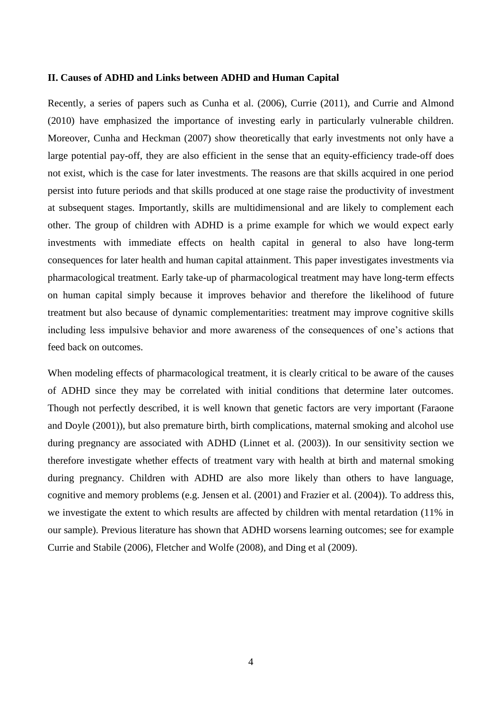#### **II. Causes of ADHD and Links between ADHD and Human Capital**

Recently, a series of papers such as Cunha et al. (2006), Currie (2011), and Currie and Almond (2010) have emphasized the importance of investing early in particularly vulnerable children. Moreover, Cunha and Heckman (2007) show theoretically that early investments not only have a large potential pay-off, they are also efficient in the sense that an equity-efficiency trade-off does not exist, which is the case for later investments. The reasons are that skills acquired in one period persist into future periods and that skills produced at one stage raise the productivity of investment at subsequent stages. Importantly, skills are multidimensional and are likely to complement each other. The group of children with ADHD is a prime example for which we would expect early investments with immediate effects on health capital in general to also have long-term consequences for later health and human capital attainment. This paper investigates investments via pharmacological treatment. Early take-up of pharmacological treatment may have long-term effects on human capital simply because it improves behavior and therefore the likelihood of future treatment but also because of dynamic complementarities: treatment may improve cognitive skills including less impulsive behavior and more awareness of the consequences of one's actions that feed back on outcomes.

When modeling effects of pharmacological treatment, it is clearly critical to be aware of the causes of ADHD since they may be correlated with initial conditions that determine later outcomes. Though not perfectly described, it is well known that genetic factors are very important (Faraone and Doyle (2001)), but also premature birth, birth complications, maternal smoking and alcohol use during pregnancy are associated with ADHD (Linnet et al. (2003)). In our sensitivity section we therefore investigate whether effects of treatment vary with health at birth and maternal smoking during pregnancy. Children with ADHD are also more likely than others to have language, cognitive and memory problems (e.g. Jensen et al. (2001) and Frazier et al. (2004)). To address this, we investigate the extent to which results are affected by children with mental retardation (11% in our sample). Previous literature has shown that ADHD worsens learning outcomes; see for example Currie and Stabile (2006), Fletcher and Wolfe (2008), and Ding et al (2009).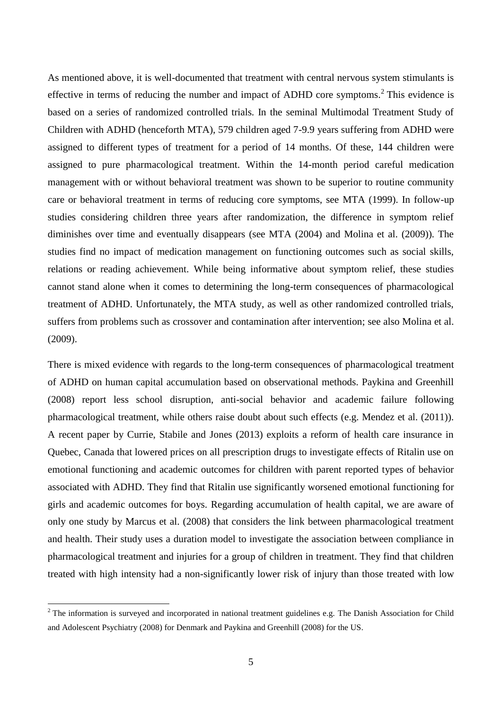As mentioned above, it is well-documented that treatment with central nervous system stimulants is effective in terms of reducing the number and impact of ADHD core symptoms.<sup>2</sup> This evidence is based on a series of randomized controlled trials. In the seminal Multimodal Treatment Study of Children with ADHD (henceforth MTA), 579 children aged 7-9.9 years suffering from ADHD were assigned to different types of treatment for a period of 14 months. Of these, 144 children were assigned to pure pharmacological treatment. Within the 14-month period careful medication management with or without behavioral treatment was shown to be superior to routine community care or behavioral treatment in terms of reducing core symptoms, see MTA (1999). In follow-up studies considering children three years after randomization, the difference in symptom relief diminishes over time and eventually disappears (see MTA (2004) and Molina et al. (2009)). The studies find no impact of medication management on functioning outcomes such as social skills, relations or reading achievement. While being informative about symptom relief, these studies cannot stand alone when it comes to determining the long-term consequences of pharmacological treatment of ADHD. Unfortunately, the MTA study, as well as other randomized controlled trials, suffers from problems such as crossover and contamination after intervention; see also Molina et al. (2009).

There is mixed evidence with regards to the long-term consequences of pharmacological treatment of ADHD on human capital accumulation based on observational methods. Paykina and Greenhill (2008) report less school disruption, anti-social behavior and academic failure following pharmacological treatment, while others raise doubt about such effects (e.g. Mendez et al. (2011)). A recent paper by Currie, Stabile and Jones (2013) exploits a reform of health care insurance in Quebec, Canada that lowered prices on all prescription drugs to investigate effects of Ritalin use on emotional functioning and academic outcomes for children with parent reported types of behavior associated with ADHD. They find that Ritalin use significantly worsened emotional functioning for girls and academic outcomes for boys. Regarding accumulation of health capital, we are aware of only one study by Marcus et al. (2008) that considers the link between pharmacological treatment and health. Their study uses a duration model to investigate the association between compliance in pharmacological treatment and injuries for a group of children in treatment. They find that children treated with high intensity had a non-significantly lower risk of injury than those treated with low

**.** 

 $2$ <sup>2</sup> The information is surveyed and incorporated in national treatment guidelines e.g. The Danish Association for Child and Adolescent Psychiatry (2008) for Denmark and Paykina and Greenhill (2008) for the US.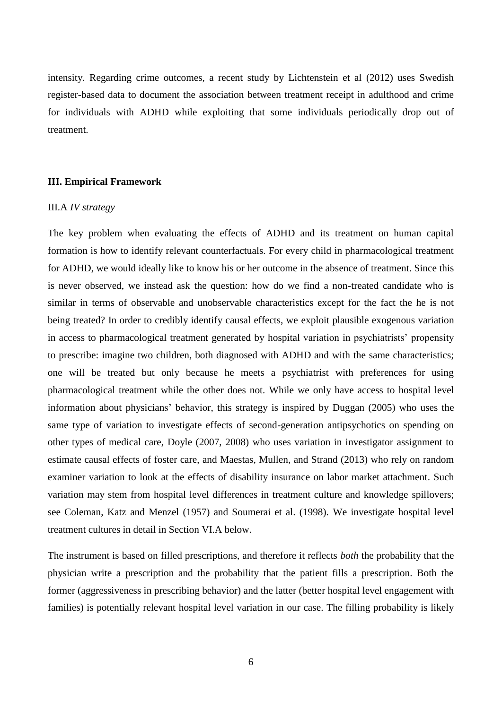intensity. Regarding crime outcomes, a recent study by Lichtenstein et al (2012) uses Swedish register-based data to document the association between treatment receipt in adulthood and crime for individuals with ADHD while exploiting that some individuals periodically drop out of treatment.

#### **III. Empirical Framework**

#### III.A *IV strategy*

The key problem when evaluating the effects of ADHD and its treatment on human capital formation is how to identify relevant counterfactuals. For every child in pharmacological treatment for ADHD, we would ideally like to know his or her outcome in the absence of treatment. Since this is never observed, we instead ask the question: how do we find a non-treated candidate who is similar in terms of observable and unobservable characteristics except for the fact the he is not being treated? In order to credibly identify causal effects, we exploit plausible exogenous variation in access to pharmacological treatment generated by hospital variation in psychiatrists' propensity to prescribe: imagine two children, both diagnosed with ADHD and with the same characteristics; one will be treated but only because he meets a psychiatrist with preferences for using pharmacological treatment while the other does not. While we only have access to hospital level information about physicians' behavior, this strategy is inspired by Duggan (2005) who uses the same type of variation to investigate effects of second-generation antipsychotics on spending on other types of medical care, Doyle (2007, 2008) who uses variation in investigator assignment to estimate causal effects of foster care, and Maestas, Mullen, and Strand (2013) who rely on random examiner variation to look at the effects of disability insurance on labor market attachment. Such variation may stem from hospital level differences in treatment culture and knowledge spillovers; see Coleman, Katz and Menzel (1957) and Soumerai et al. (1998). We investigate hospital level treatment cultures in detail in Section VI.A below.

The instrument is based on filled prescriptions, and therefore it reflects *both* the probability that the physician write a prescription and the probability that the patient fills a prescription. Both the former (aggressiveness in prescribing behavior) and the latter (better hospital level engagement with families) is potentially relevant hospital level variation in our case. The filling probability is likely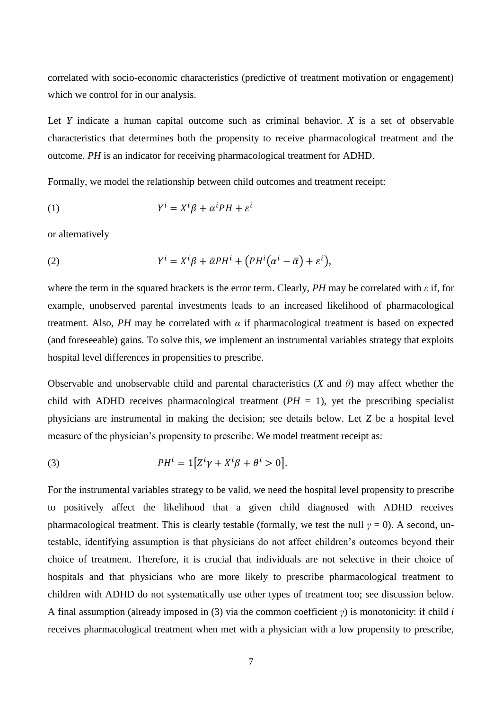correlated with socio-economic characteristics (predictive of treatment motivation or engagement) which we control for in our analysis.

Let *Y* indicate a human capital outcome such as criminal behavior. *X* is a set of observable characteristics that determines both the propensity to receive pharmacological treatment and the outcome. *PH* is an indicator for receiving pharmacological treatment for ADHD.

Formally, we model the relationship between child outcomes and treatment receipt:

$$
(1) \tY^i = X^i \beta + \alpha^i P H + \varepsilon^i
$$

or alternatively

(2) 
$$
Y^{i} = X^{i} \beta + \overline{\alpha} PH^{i} + (PH^{i}(\alpha^{i} - \overline{\alpha}) + \varepsilon^{i}),
$$

where the term in the squared brackets is the error term. Clearly, *PH* may be correlated with *ε* if, for example, unobserved parental investments leads to an increased likelihood of pharmacological treatment. Also, *PH* may be correlated with  $\alpha$  if pharmacological treatment is based on expected (and foreseeable) gains. To solve this, we implement an instrumental variables strategy that exploits hospital level differences in propensities to prescribe.

Observable and unobservable child and parental characteristics (*X* and *θ*) may affect whether the child with ADHD receives pharmacological treatment  $(PH = 1)$ , yet the prescribing specialist physicians are instrumental in making the decision; see details below. Let *Z* be a hospital level measure of the physician's propensity to prescribe. We model treatment receipt as:

(3) 
$$
PH^{i} = 1[Z^{i}\gamma + X^{i}\beta + \theta^{i} > 0].
$$

For the instrumental variables strategy to be valid, we need the hospital level propensity to prescribe to positively affect the likelihood that a given child diagnosed with ADHD receives pharmacological treatment. This is clearly testable (formally, we test the null  $\gamma = 0$ ). A second, untestable, identifying assumption is that physicians do not affect children's outcomes beyond their choice of treatment. Therefore, it is crucial that individuals are not selective in their choice of hospitals and that physicians who are more likely to prescribe pharmacological treatment to children with ADHD do not systematically use other types of treatment too; see discussion below. A final assumption (already imposed in (3) via the common coefficient *γ*) is monotonicity: if child *i*  receives pharmacological treatment when met with a physician with a low propensity to prescribe,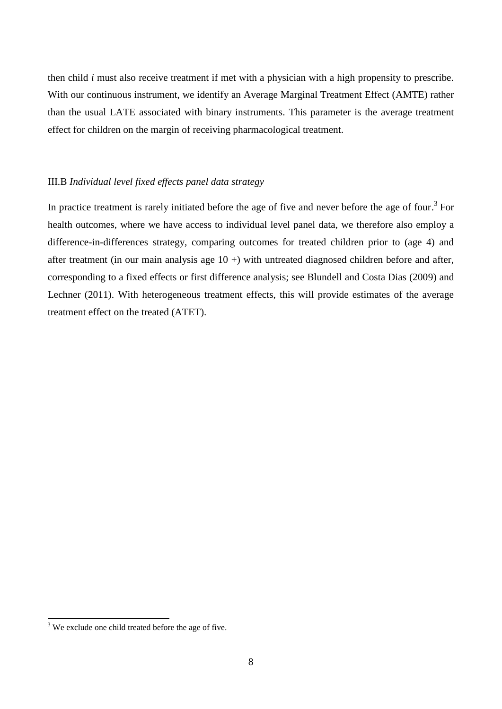then child *i* must also receive treatment if met with a physician with a high propensity to prescribe. With our continuous instrument, we identify an Average Marginal Treatment Effect (AMTE) rather than the usual LATE associated with binary instruments. This parameter is the average treatment effect for children on the margin of receiving pharmacological treatment.

### III.B *Individual level fixed effects panel data strategy*

In practice treatment is rarely initiated before the age of five and never before the age of four.<sup>3</sup> For health outcomes, where we have access to individual level panel data, we therefore also employ a difference-in-differences strategy, comparing outcomes for treated children prior to (age 4) and after treatment (in our main analysis age  $10 +$ ) with untreated diagnosed children before and after, corresponding to a fixed effects or first difference analysis; see Blundell and Costa Dias (2009) and Lechner (2011). With heterogeneous treatment effects, this will provide estimates of the average treatment effect on the treated (ATET).

1

 $3$  We exclude one child treated before the age of five.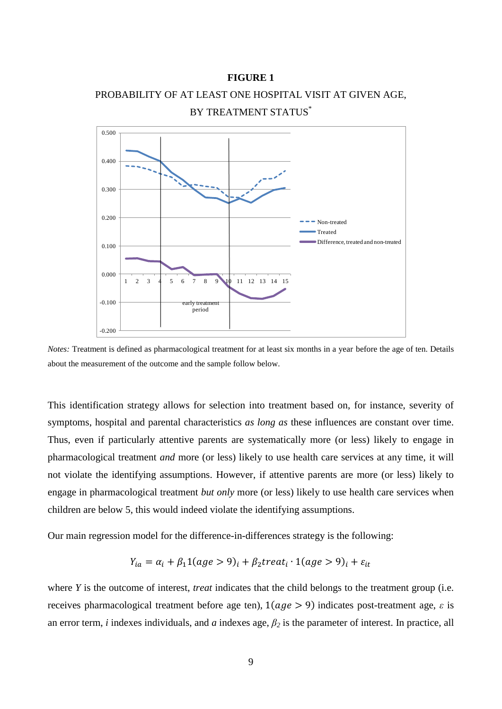#### **FIGURE 1**



PROBABILITY OF AT LEAST ONE HOSPITAL VISIT AT GIVEN AGE,

*Notes:* Treatment is defined as pharmacological treatment for at least six months in a year before the age of ten. Details about the measurement of the outcome and the sample follow below.

This identification strategy allows for selection into treatment based on, for instance, severity of symptoms, hospital and parental characteristics *as long as* these influences are constant over time. Thus, even if particularly attentive parents are systematically more (or less) likely to engage in pharmacological treatment *and* more (or less) likely to use health care services at any time, it will not violate the identifying assumptions. However, if attentive parents are more (or less) likely to engage in pharmacological treatment *but only* more (or less) likely to use health care services when children are below 5, this would indeed violate the identifying assumptions.

Our main regression model for the difference-in-differences strategy is the following:

$$
Y_{ia} = \alpha_i + \beta_1 1(age > 9)_i + \beta_2 treat_i \cdot 1(age > 9)_i + \varepsilon_{it}
$$

where *Y* is the outcome of interest, *treat* indicates that the child belongs to the treatment group (i.e. receives pharmacological treatment before age ten),  $1(age > 9)$  indicates post-treatment age,  $\varepsilon$  is an error term, *i* indexes individuals, and *a* indexes age, *β<sup>2</sup>* is the parameter of interest. In practice, all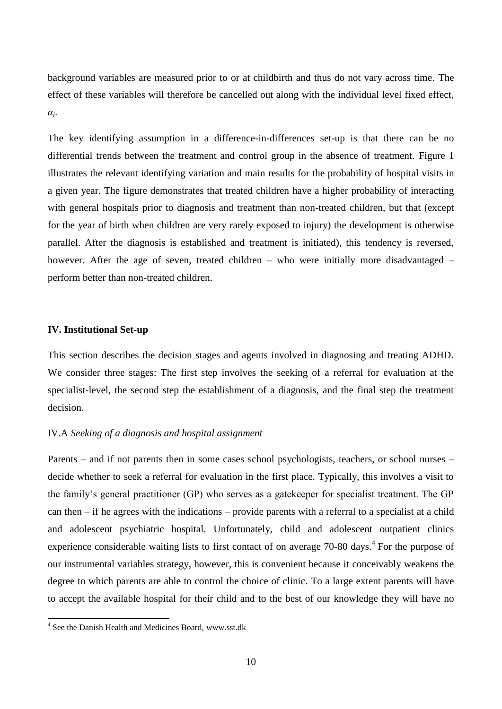background variables are measured prior to or at childbirth and thus do not vary across time. The effect of these variables will therefore be cancelled out along with the individual level fixed effect, *αi* .

The key identifying assumption in a difference-in-differences set-up is that there can be no differential trends between the treatment and control group in the absence of treatment. Figure 1 illustrates the relevant identifying variation and main results for the probability of hospital visits in a given year. The figure demonstrates that treated children have a higher probability of interacting with general hospitals prior to diagnosis and treatment than non-treated children, but that (except for the year of birth when children are very rarely exposed to injury) the development is otherwise parallel. After the diagnosis is established and treatment is initiated), this tendency is reversed, however. After the age of seven, treated children – who were initially more disadvantaged – perform better than non-treated children.

#### **IV. Institutional Set-up**

This section describes the decision stages and agents involved in diagnosing and treating ADHD. We consider three stages: The first step involves the seeking of a referral for evaluation at the specialist-level, the second step the establishment of a diagnosis, and the final step the treatment decision.

#### IV.A *Seeking of a diagnosis and hospital assignment*

Parents – and if not parents then in some cases school psychologists, teachers, or school nurses – decide whether to seek a referral for evaluation in the first place. Typically, this involves a visit to the family's general practitioner (GP) who serves as a gatekeeper for specialist treatment. The GP can then – if he agrees with the indications – provide parents with a referral to a specialist at a child and adolescent psychiatric hospital. Unfortunately, child and adolescent outpatient clinics experience considerable waiting lists to first contact of on average 70-80 days.<sup>4</sup> For the purpose of our instrumental variables strategy, however, this is convenient because it conceivably weakens the degree to which parents are able to control the choice of clinic. To a large extent parents will have to accept the available hospital for their child and to the best of our knowledge they will have no

 4 See the Danish Health and Medicines Board, www.sst.dk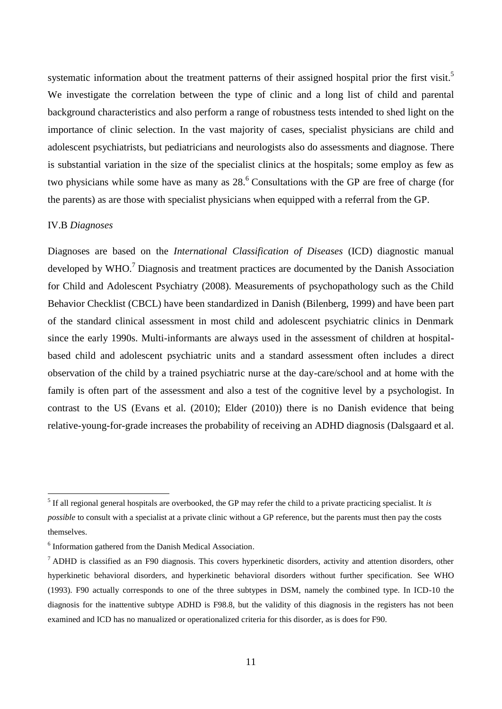systematic information about the treatment patterns of their assigned hospital prior the first visit.<sup>5</sup> We investigate the correlation between the type of clinic and a long list of child and parental background characteristics and also perform a range of robustness tests intended to shed light on the importance of clinic selection. In the vast majority of cases, specialist physicians are child and adolescent psychiatrists, but pediatricians and neurologists also do assessments and diagnose. There is substantial variation in the size of the specialist clinics at the hospitals; some employ as few as two physicians while some have as many as 28.<sup>6</sup> Consultations with the GP are free of charge (for the parents) as are those with specialist physicians when equipped with a referral from the GP.

#### IV.B *Diagnoses*

Diagnoses are based on the *International Classification of Diseases* (ICD) diagnostic manual developed by  $WHO$ .<sup>7</sup> Diagnosis and treatment practices are documented by the Danish Association for Child and Adolescent Psychiatry (2008). Measurements of psychopathology such as the Child Behavior Checklist (CBCL) have been standardized in Danish (Bilenberg, 1999) and have been part of the standard clinical assessment in most child and adolescent psychiatric clinics in Denmark since the early 1990s. Multi-informants are always used in the assessment of children at hospitalbased child and adolescent psychiatric units and a standard assessment often includes a direct observation of the child by a trained psychiatric nurse at the day-care/school and at home with the family is often part of the assessment and also a test of the cognitive level by a psychologist. In contrast to the US (Evans et al. (2010); Elder (2010)) there is no Danish evidence that being relative-young-for-grade increases the probability of receiving an ADHD diagnosis (Dalsgaard et al.

 5 If all regional general hospitals are overbooked, the GP may refer the child to a private practicing specialist. It *is possible* to consult with a specialist at a private clinic without a GP reference, but the parents must then pay the costs themselves.

<sup>&</sup>lt;sup>6</sup> Information gathered from the Danish Medical Association.

 $<sup>7</sup>$  ADHD is classified as an F90 diagnosis. This covers hyperkinetic disorders, activity and attention disorders, other</sup> hyperkinetic behavioral disorders, and hyperkinetic behavioral disorders without further specification. See WHO (1993). F90 actually corresponds to one of the three subtypes in DSM, namely the combined type. In ICD-10 the diagnosis for the inattentive subtype ADHD is F98.8, but the validity of this diagnosis in the registers has not been examined and ICD has no manualized or operationalized criteria for this disorder, as is does for F90.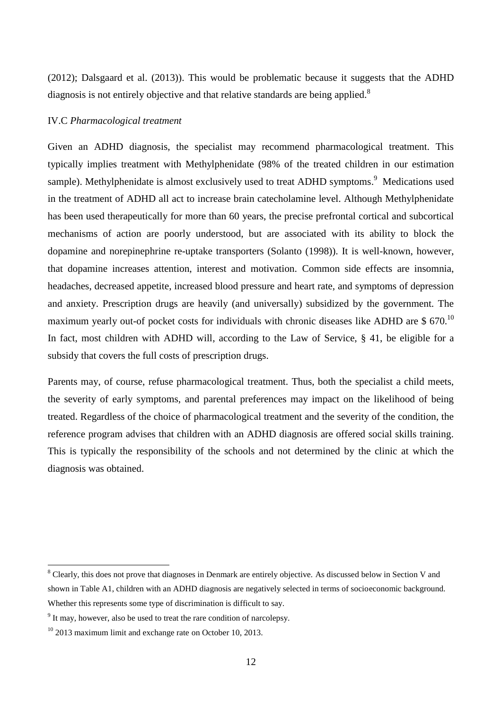(2012); Dalsgaard et al. (2013)). This would be problematic because it suggests that the ADHD diagnosis is not entirely objective and that relative standards are being applied.<sup>8</sup>

#### IV.C *Pharmacological treatment*

Given an ADHD diagnosis, the specialist may recommend pharmacological treatment. This typically implies treatment with Methylphenidate (98% of the treated children in our estimation sample). Methylphenidate is almost exclusively used to treat ADHD symptoms.<sup>9</sup> Medications used in the treatment of ADHD all act to increase brain catecholamine level. Although Methylphenidate has been used therapeutically for more than 60 years, the precise prefrontal cortical and subcortical mechanisms of action are poorly understood, but are associated with its ability to block the dopamine and norepinephrine re-uptake transporters (Solanto (1998)). It is well-known, however, that dopamine increases attention, interest and motivation. Common side effects are insomnia, headaches, decreased appetite, increased blood pressure and heart rate, and symptoms of depression and anxiety. Prescription drugs are heavily (and universally) subsidized by the government. The maximum yearly out-of pocket costs for individuals with chronic diseases like ADHD are \$ 670.<sup>10</sup> In fact, most children with ADHD will, according to the Law of Service, § 41, be eligible for a subsidy that covers the full costs of prescription drugs.

Parents may, of course, refuse pharmacological treatment. Thus, both the specialist a child meets, the severity of early symptoms, and parental preferences may impact on the likelihood of being treated. Regardless of the choice of pharmacological treatment and the severity of the condition, the reference program advises that children with an ADHD diagnosis are offered social skills training. This is typically the responsibility of the schools and not determined by the clinic at which the diagnosis was obtained.

**.** 

 $8$  Clearly, this does not prove that diagnoses in Denmark are entirely objective. As discussed below in Section V and shown in Table A1, children with an ADHD diagnosis are negatively selected in terms of socioeconomic background. Whether this represents some type of discrimination is difficult to say.

<sup>&</sup>lt;sup>9</sup> It may, however, also be used to treat the rare condition of narcolepsy.

 $10$  2013 maximum limit and exchange rate on October 10, 2013.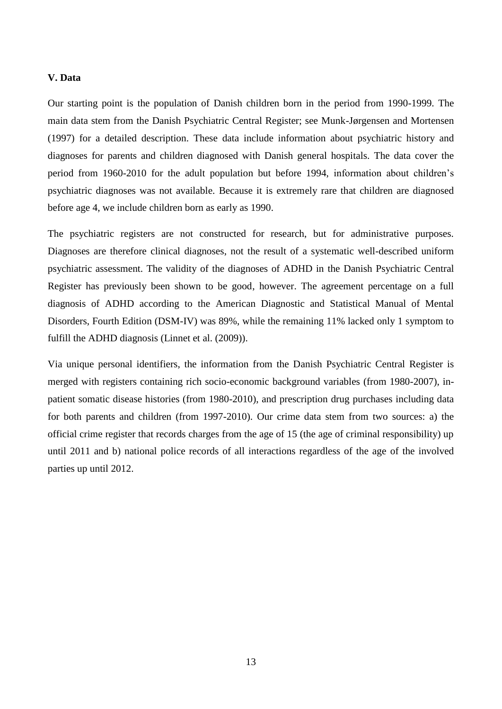#### **V. Data**

Our starting point is the population of Danish children born in the period from 1990-1999. The main data stem from the Danish Psychiatric Central Register; see Munk-Jørgensen and Mortensen (1997) for a detailed description. These data include information about psychiatric history and diagnoses for parents and children diagnosed with Danish general hospitals. The data cover the period from 1960-2010 for the adult population but before 1994, information about children's psychiatric diagnoses was not available. Because it is extremely rare that children are diagnosed before age 4, we include children born as early as 1990.

The psychiatric registers are not constructed for research, but for administrative purposes. Diagnoses are therefore clinical diagnoses, not the result of a systematic well-described uniform psychiatric assessment. The validity of the diagnoses of ADHD in the Danish Psychiatric Central Register has previously been shown to be good, however. The agreement percentage on a full diagnosis of ADHD according to the American Diagnostic and Statistical Manual of Mental Disorders, Fourth Edition (DSM-IV) was 89%, while the remaining 11% lacked only 1 symptom to fulfill the ADHD diagnosis (Linnet et al. (2009)).

Via unique personal identifiers, the information from the Danish Psychiatric Central Register is merged with registers containing rich socio-economic background variables (from 1980-2007), inpatient somatic disease histories (from 1980-2010), and prescription drug purchases including data for both parents and children (from 1997-2010). Our crime data stem from two sources: a) the official crime register that records charges from the age of 15 (the age of criminal responsibility) up until 2011 and b) national police records of all interactions regardless of the age of the involved parties up until 2012.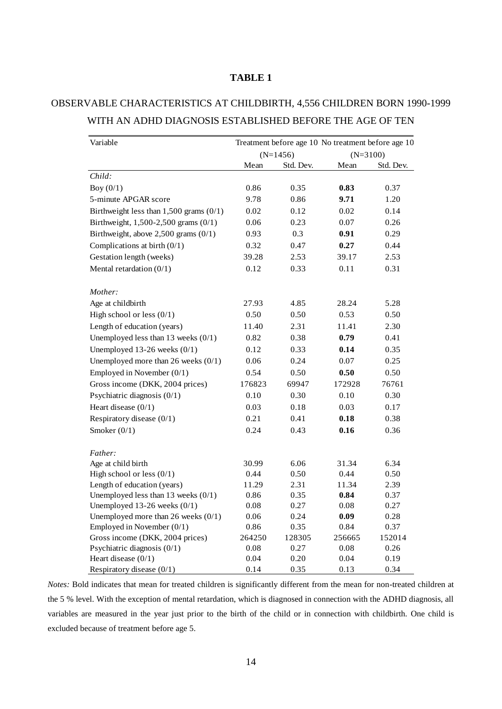### **TABLE 1**

# OBSERVABLE CHARACTERISTICS AT CHILDBIRTH, 4,556 CHILDREN BORN 1990-1999 WITH AN ADHD DIAGNOSIS ESTABLISHED BEFORE THE AGE OF TEN

| Variable                                    |        | Treatment before age 10 No treatment before age 10 |            |           |
|---------------------------------------------|--------|----------------------------------------------------|------------|-----------|
|                                             |        | $(N=1456)$                                         | $(N=3100)$ |           |
|                                             | Mean   | Std. Dev.                                          | Mean       | Std. Dev. |
| Child:                                      |        |                                                    |            |           |
| Boy $(0/1)$                                 | 0.86   | 0.35                                               | 0.83       | 0.37      |
| 5-minute APGAR score                        | 9.78   | 0.86                                               | 9.71       | 1.20      |
| Birthweight less than $1,500$ grams $(0/1)$ | 0.02   | 0.12                                               | 0.02       | 0.14      |
| Birthweight, 1,500-2,500 grams (0/1)        | 0.06   | 0.23                                               | 0.07       | 0.26      |
| Birthweight, above 2,500 grams (0/1)        | 0.93   | 0.3                                                | 0.91       | 0.29      |
| Complications at birth $(0/1)$              | 0.32   | 0.47                                               | 0.27       | 0.44      |
| Gestation length (weeks)                    | 39.28  | 2.53                                               | 39.17      | 2.53      |
| Mental retardation $(0/1)$                  | 0.12   | 0.33                                               | 0.11       | 0.31      |
| Mother:                                     |        |                                                    |            |           |
| Age at childbirth                           | 27.93  | 4.85                                               | 28.24      | 5.28      |
| High school or less $(0/1)$                 | 0.50   | 0.50                                               | 0.53       | 0.50      |
| Length of education (years)                 | 11.40  | 2.31                                               | 11.41      | 2.30      |
| Unemployed less than 13 weeks (0/1)         | 0.82   | 0.38                                               | 0.79       | 0.41      |
| Unemployed $13-26$ weeks $(0/1)$            | 0.12   | 0.33                                               | 0.14       | 0.35      |
| Unemployed more than 26 weeks $(0/1)$       | 0.06   | 0.24                                               | 0.07       | 0.25      |
| Employed in November $(0/1)$                | 0.54   | 0.50                                               | 0.50       | 0.50      |
| Gross income (DKK, 2004 prices)             | 176823 | 69947                                              | 172928     | 76761     |
| Psychiatric diagnosis (0/1)                 | 0.10   | 0.30                                               | 0.10       | 0.30      |
| Heart disease $(0/1)$                       | 0.03   | 0.18                                               | 0.03       | 0.17      |
| Respiratory disease (0/1)                   | 0.21   | 0.41                                               | 0.18       | 0.38      |
| Smoker $(0/1)$                              | 0.24   | 0.43                                               | 0.16       | 0.36      |
| Father:                                     |        |                                                    |            |           |
| Age at child birth                          | 30.99  | 6.06                                               | 31.34      | 6.34      |
| High school or less $(0/1)$                 | 0.44   | 0.50                                               | 0.44       | 0.50      |
| Length of education (years)                 | 11.29  | 2.31                                               | 11.34      | 2.39      |
| Unemployed less than 13 weeks $(0/1)$       | 0.86   | 0.35                                               | 0.84       | 0.37      |
| Unemployed 13-26 weeks $(0/1)$              | 0.08   | 0.27                                               | 0.08       | 0.27      |
| Unemployed more than $26$ weeks $(0/1)$     | 0.06   | 0.24                                               | 0.09       | 0.28      |
| Employed in November (0/1)                  | 0.86   | 0.35                                               | 0.84       | 0.37      |
| Gross income (DKK, 2004 prices)             | 264250 | 128305                                             | 256665     | 152014    |
| Psychiatric diagnosis $(0/1)$               | 0.08   | 0.27                                               | 0.08       | 0.26      |
| Heart disease $(0/1)$                       | 0.04   | 0.20                                               | 0.04       | 0.19      |
| Respiratory disease $(0/1)$                 | 0.14   | 0.35                                               | 0.13       | 0.34      |

*Notes:* Bold indicates that mean for treated children is significantly different from the mean for non-treated children at the 5 % level. With the exception of mental retardation, which is diagnosed in connection with the ADHD diagnosis, all variables are measured in the year just prior to the birth of the child or in connection with childbirth. One child is excluded because of treatment before age 5.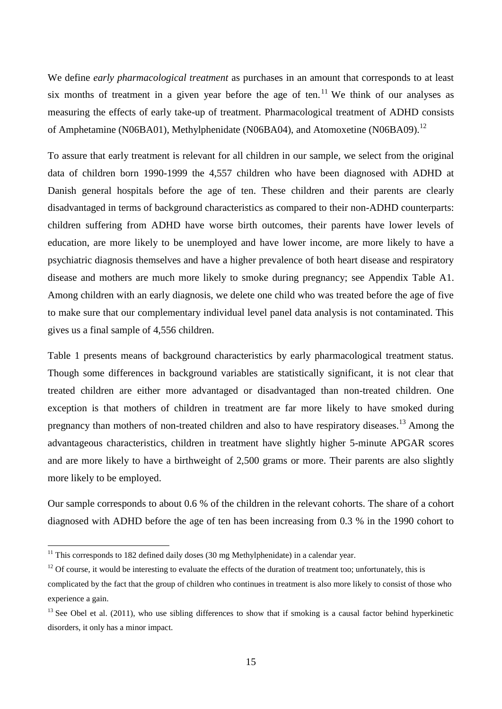We define *early pharmacological treatment* as purchases in an amount that corresponds to at least six months of treatment in a given year before the age of ten.<sup>11</sup> We think of our analyses as measuring the effects of early take-up of treatment. Pharmacological treatment of ADHD consists of Amphetamine (N06BA01), Methylphenidate (N06BA04), and Atomoxetine (N06BA09).<sup>12</sup>

To assure that early treatment is relevant for all children in our sample, we select from the original data of children born 1990-1999 the 4,557 children who have been diagnosed with ADHD at Danish general hospitals before the age of ten. These children and their parents are clearly disadvantaged in terms of background characteristics as compared to their non-ADHD counterparts: children suffering from ADHD have worse birth outcomes, their parents have lower levels of education, are more likely to be unemployed and have lower income, are more likely to have a psychiatric diagnosis themselves and have a higher prevalence of both heart disease and respiratory disease and mothers are much more likely to smoke during pregnancy; see Appendix Table A1. Among children with an early diagnosis, we delete one child who was treated before the age of five to make sure that our complementary individual level panel data analysis is not contaminated. This gives us a final sample of 4,556 children.

Table 1 presents means of background characteristics by early pharmacological treatment status. Though some differences in background variables are statistically significant, it is not clear that treated children are either more advantaged or disadvantaged than non-treated children. One exception is that mothers of children in treatment are far more likely to have smoked during pregnancy than mothers of non-treated children and also to have respiratory diseases.<sup>13</sup> Among the advantageous characteristics, children in treatment have slightly higher 5-minute APGAR scores and are more likely to have a birthweight of 2,500 grams or more. Their parents are also slightly more likely to be employed.

Our sample corresponds to about 0.6 % of the children in the relevant cohorts. The share of a cohort diagnosed with ADHD before the age of ten has been increasing from 0.3 % in the 1990 cohort to

 $\overline{a}$ 

 $11$ <sup>11</sup> This corresponds to 182 defined daily doses (30 mg Methylphenidate) in a calendar year.

 $12$  Of course, it would be interesting to evaluate the effects of the duration of treatment too; unfortunately, this is complicated by the fact that the group of children who continues in treatment is also more likely to consist of those who experience a gain.

<sup>&</sup>lt;sup>13</sup> See Obel et al. (2011), who use sibling differences to show that if smoking is a causal factor behind hyperkinetic disorders, it only has a minor impact.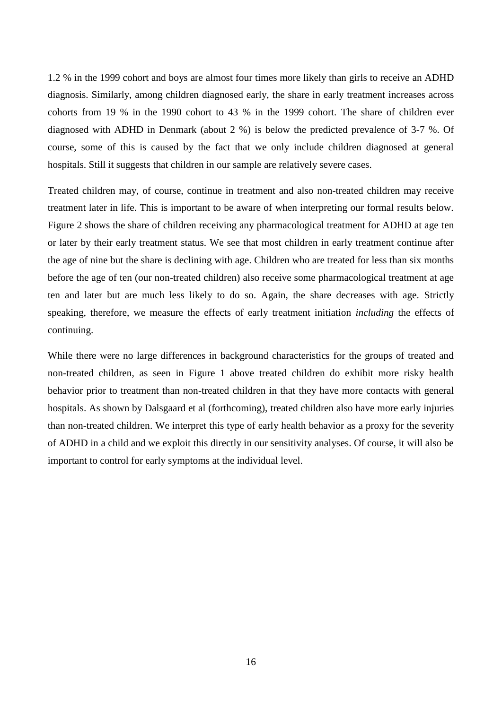1.2 % in the 1999 cohort and boys are almost four times more likely than girls to receive an ADHD diagnosis. Similarly, among children diagnosed early, the share in early treatment increases across cohorts from 19 % in the 1990 cohort to 43 % in the 1999 cohort. The share of children ever diagnosed with ADHD in Denmark (about 2 %) is below the predicted prevalence of 3-7 %. Of course, some of this is caused by the fact that we only include children diagnosed at general hospitals. Still it suggests that children in our sample are relatively severe cases.

Treated children may, of course, continue in treatment and also non-treated children may receive treatment later in life. This is important to be aware of when interpreting our formal results below. Figure 2 shows the share of children receiving any pharmacological treatment for ADHD at age ten or later by their early treatment status. We see that most children in early treatment continue after the age of nine but the share is declining with age. Children who are treated for less than six months before the age of ten (our non-treated children) also receive some pharmacological treatment at age ten and later but are much less likely to do so. Again, the share decreases with age. Strictly speaking, therefore, we measure the effects of early treatment initiation *including* the effects of continuing.

While there were no large differences in background characteristics for the groups of treated and non-treated children, as seen in Figure 1 above treated children do exhibit more risky health behavior prior to treatment than non-treated children in that they have more contacts with general hospitals. As shown by Dalsgaard et al (forthcoming), treated children also have more early injuries than non-treated children. We interpret this type of early health behavior as a proxy for the severity of ADHD in a child and we exploit this directly in our sensitivity analyses. Of course, it will also be important to control for early symptoms at the individual level.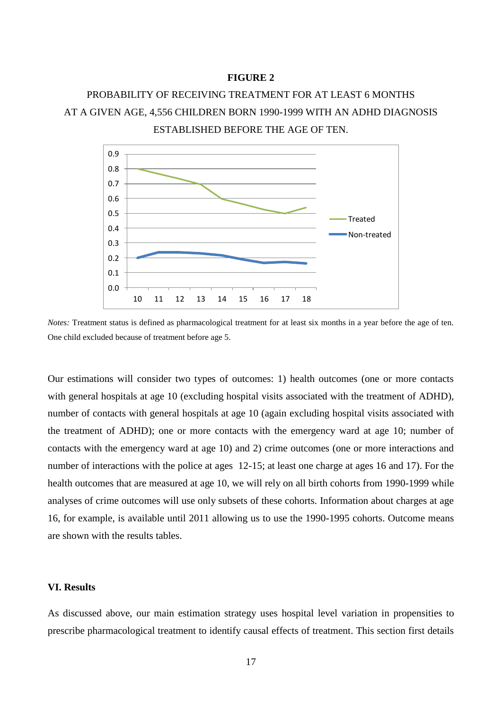#### **FIGURE 2**





*Notes:* Treatment status is defined as pharmacological treatment for at least six months in a year before the age of ten. One child excluded because of treatment before age 5.

Our estimations will consider two types of outcomes: 1) health outcomes (one or more contacts with general hospitals at age 10 (excluding hospital visits associated with the treatment of ADHD), number of contacts with general hospitals at age 10 (again excluding hospital visits associated with the treatment of ADHD); one or more contacts with the emergency ward at age 10; number of contacts with the emergency ward at age 10) and 2) crime outcomes (one or more interactions and number of interactions with the police at ages 12-15; at least one charge at ages 16 and 17). For the health outcomes that are measured at age 10, we will rely on all birth cohorts from 1990-1999 while analyses of crime outcomes will use only subsets of these cohorts. Information about charges at age 16, for example, is available until 2011 allowing us to use the 1990-1995 cohorts. Outcome means are shown with the results tables.

#### **VI. Results**

As discussed above, our main estimation strategy uses hospital level variation in propensities to prescribe pharmacological treatment to identify causal effects of treatment. This section first details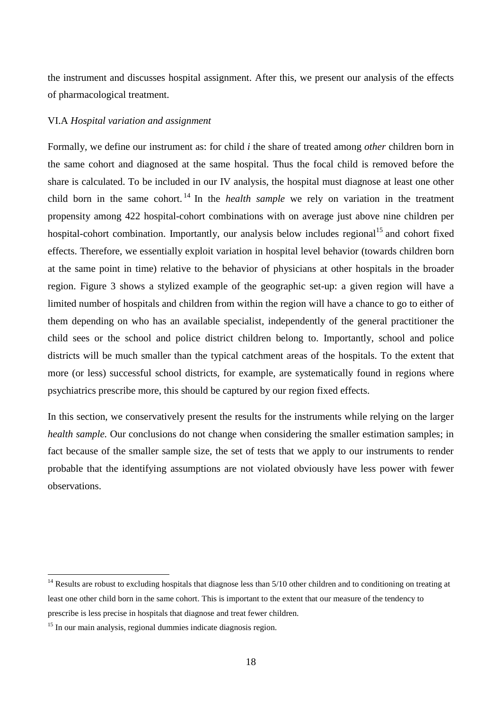the instrument and discusses hospital assignment. After this, we present our analysis of the effects of pharmacological treatment.

#### VI.A *Hospital variation and assignment*

Formally, we define our instrument as: for child *i* the share of treated among *other* children born in the same cohort and diagnosed at the same hospital. Thus the focal child is removed before the share is calculated. To be included in our IV analysis, the hospital must diagnose at least one other child born in the same cohort.<sup>14</sup> In the *health sample* we rely on variation in the treatment propensity among 422 hospital-cohort combinations with on average just above nine children per hospital-cohort combination. Importantly, our analysis below includes regional<sup>15</sup> and cohort fixed effects. Therefore, we essentially exploit variation in hospital level behavior (towards children born at the same point in time) relative to the behavior of physicians at other hospitals in the broader region. Figure 3 shows a stylized example of the geographic set-up: a given region will have a limited number of hospitals and children from within the region will have a chance to go to either of them depending on who has an available specialist, independently of the general practitioner the child sees or the school and police district children belong to. Importantly, school and police districts will be much smaller than the typical catchment areas of the hospitals. To the extent that more (or less) successful school districts, for example, are systematically found in regions where psychiatrics prescribe more, this should be captured by our region fixed effects.

In this section, we conservatively present the results for the instruments while relying on the larger *health sample.* Our conclusions do not change when considering the smaller estimation samples; in fact because of the smaller sample size, the set of tests that we apply to our instruments to render probable that the identifying assumptions are not violated obviously have less power with fewer observations.

1

 $14$  Results are robust to excluding hospitals that diagnose less than  $5/10$  other children and to conditioning on treating at least one other child born in the same cohort. This is important to the extent that our measure of the tendency to prescribe is less precise in hospitals that diagnose and treat fewer children.

<sup>&</sup>lt;sup>15</sup> In our main analysis, regional dummies indicate diagnosis region.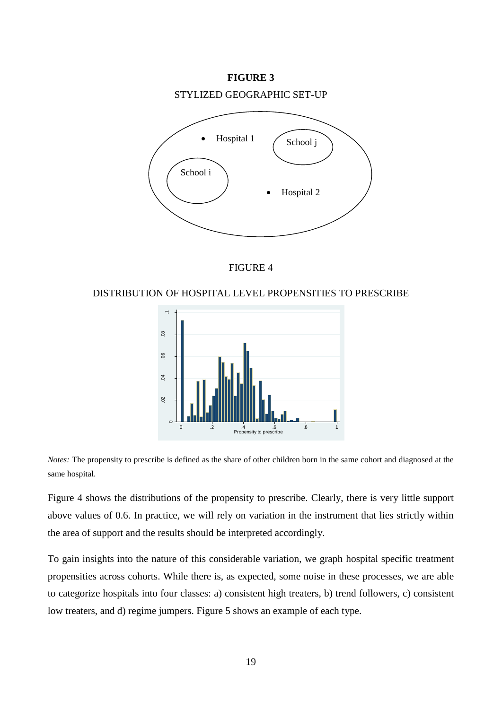#### **FIGURE 3**

STYLIZED GEOGRAPHIC SET-UP





DISTRIBUTION OF HOSPITAL LEVEL PROPENSITIES TO PRESCRIBE



*Notes:* The propensity to prescribe is defined as the share of other children born in the same cohort and diagnosed at the same hospital.

Figure 4 shows the distributions of the propensity to prescribe. Clearly, there is very little support above values of 0.6. In practice, we will rely on variation in the instrument that lies strictly within the area of support and the results should be interpreted accordingly.

To gain insights into the nature of this considerable variation, we graph hospital specific treatment propensities across cohorts. While there is, as expected, some noise in these processes, we are able to categorize hospitals into four classes: a) consistent high treaters, b) trend followers, c) consistent low treaters, and d) regime jumpers. Figure 5 shows an example of each type.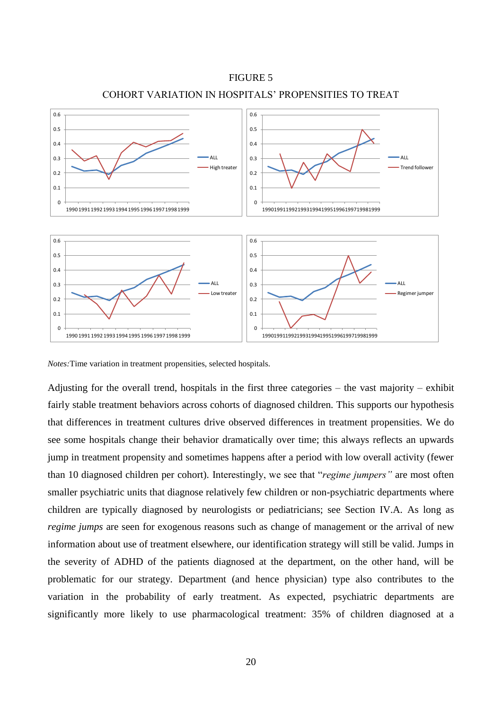FIGURE 5



COHORT VARIATION IN HOSPITALS' PROPENSITIES TO TREAT

*Notes:*Time variation in treatment propensities, selected hospitals.

Adjusting for the overall trend, hospitals in the first three categories – the vast majority – exhibit fairly stable treatment behaviors across cohorts of diagnosed children. This supports our hypothesis that differences in treatment cultures drive observed differences in treatment propensities. We do see some hospitals change their behavior dramatically over time; this always reflects an upwards jump in treatment propensity and sometimes happens after a period with low overall activity (fewer than 10 diagnosed children per cohort). Interestingly, we see that "*regime jumpers"* are most often smaller psychiatric units that diagnose relatively few children or non-psychiatric departments where children are typically diagnosed by neurologists or pediatricians; see Section IV.A. As long as *regime jumps* are seen for exogenous reasons such as change of management or the arrival of new information about use of treatment elsewhere, our identification strategy will still be valid. Jumps in the severity of ADHD of the patients diagnosed at the department, on the other hand, will be problematic for our strategy. Department (and hence physician) type also contributes to the variation in the probability of early treatment. As expected, psychiatric departments are significantly more likely to use pharmacological treatment: 35% of children diagnosed at a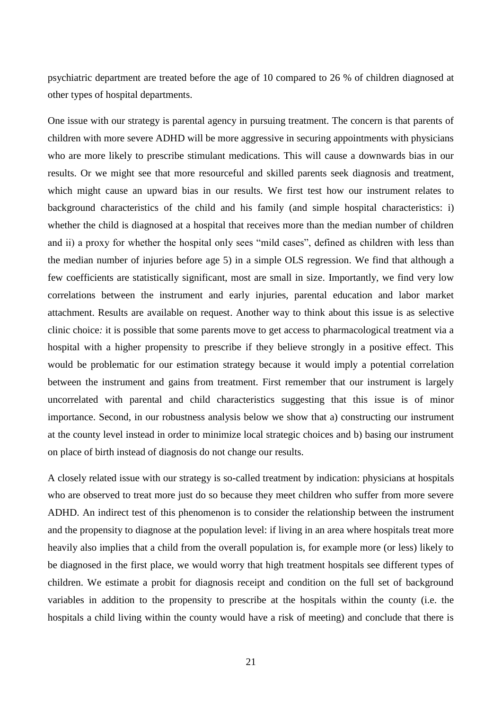psychiatric department are treated before the age of 10 compared to 26 % of children diagnosed at other types of hospital departments.

One issue with our strategy is parental agency in pursuing treatment. The concern is that parents of children with more severe ADHD will be more aggressive in securing appointments with physicians who are more likely to prescribe stimulant medications. This will cause a downwards bias in our results. Or we might see that more resourceful and skilled parents seek diagnosis and treatment, which might cause an upward bias in our results. We first test how our instrument relates to background characteristics of the child and his family (and simple hospital characteristics: i) whether the child is diagnosed at a hospital that receives more than the median number of children and ii) a proxy for whether the hospital only sees "mild cases", defined as children with less than the median number of injuries before age 5) in a simple OLS regression. We find that although a few coefficients are statistically significant, most are small in size. Importantly, we find very low correlations between the instrument and early injuries, parental education and labor market attachment. Results are available on request. Another way to think about this issue is as selective clinic choice*:* it is possible that some parents move to get access to pharmacological treatment via a hospital with a higher propensity to prescribe if they believe strongly in a positive effect. This would be problematic for our estimation strategy because it would imply a potential correlation between the instrument and gains from treatment. First remember that our instrument is largely uncorrelated with parental and child characteristics suggesting that this issue is of minor importance. Second, in our robustness analysis below we show that a) constructing our instrument at the county level instead in order to minimize local strategic choices and b) basing our instrument on place of birth instead of diagnosis do not change our results.

A closely related issue with our strategy is so-called treatment by indication: physicians at hospitals who are observed to treat more just do so because they meet children who suffer from more severe ADHD. An indirect test of this phenomenon is to consider the relationship between the instrument and the propensity to diagnose at the population level: if living in an area where hospitals treat more heavily also implies that a child from the overall population is, for example more (or less) likely to be diagnosed in the first place, we would worry that high treatment hospitals see different types of children. We estimate a probit for diagnosis receipt and condition on the full set of background variables in addition to the propensity to prescribe at the hospitals within the county (i.e. the hospitals a child living within the county would have a risk of meeting) and conclude that there is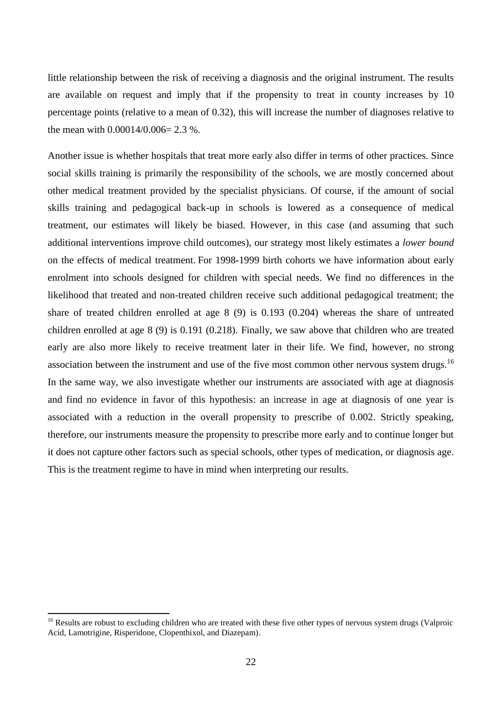little relationship between the risk of receiving a diagnosis and the original instrument. The results are available on request and imply that if the propensity to treat in county increases by 10 percentage points (relative to a mean of 0.32), this will increase the number of diagnoses relative to the mean with 0.00014/0.006= 2.3 %.

Another issue is whether hospitals that treat more early also differ in terms of other practices. Since social skills training is primarily the responsibility of the schools, we are mostly concerned about other medical treatment provided by the specialist physicians. Of course, if the amount of social skills training and pedagogical back-up in schools is lowered as a consequence of medical treatment, our estimates will likely be biased. However, in this case (and assuming that such additional interventions improve child outcomes), our strategy most likely estimates a *lower bound* on the effects of medical treatment. For 1998-1999 birth cohorts we have information about early enrolment into schools designed for children with special needs. We find no differences in the likelihood that treated and non-treated children receive such additional pedagogical treatment; the share of treated children enrolled at age 8 (9) is 0.193 (0.204) whereas the share of untreated children enrolled at age 8 (9) is 0.191 (0.218). Finally, we saw above that children who are treated early are also more likely to receive treatment later in their life. We find, however, no strong association between the instrument and use of the five most common other nervous system drugs.<sup>16</sup> In the same way, we also investigate whether our instruments are associated with age at diagnosis and find no evidence in favor of this hypothesis: an increase in age at diagnosis of one year is associated with a reduction in the overall propensity to prescribe of 0.002. Strictly speaking, therefore, our instruments measure the propensity to prescribe more early and to continue longer but it does not capture other factors such as special schools, other types of medication, or diagnosis age. This is the treatment regime to have in mind when interpreting our results.

1

<sup>&</sup>lt;sup>16</sup> Results are robust to excluding children who are treated with these five other types of nervous system drugs (Valproic Acid, Lamotrigine, Risperidone, Clopenthixol, and Diazepam).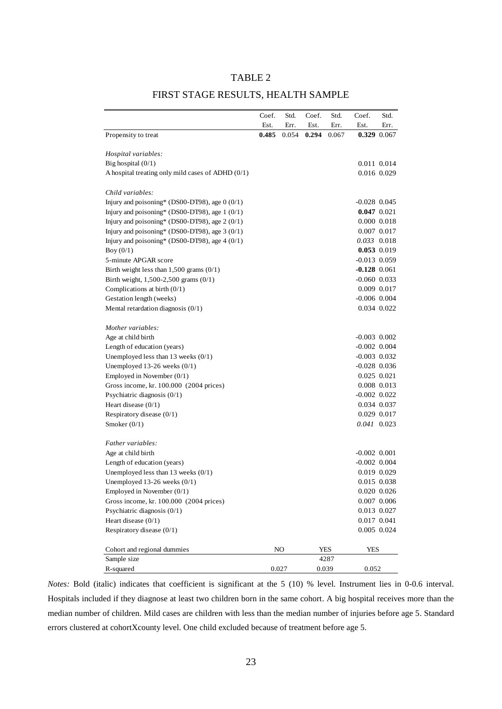| ABI. |  |
|------|--|
|------|--|

|                                                   | Coef. | Std.  | Coef. | Std.  | Coef.            | Std.            |
|---------------------------------------------------|-------|-------|-------|-------|------------------|-----------------|
|                                                   | Est.  | Err.  | Est.  | Err.  | Est.             | Err.            |
| Propensity to treat                               | 0.485 | 0.054 | 0.294 | 0.067 |                  | 0.329 0.067     |
|                                                   |       |       |       |       |                  |                 |
| Hospital variables:                               |       |       |       |       |                  |                 |
| Big hospital $(0/1)$                              |       |       |       |       |                  | 0.011 0.014     |
| A hospital treating only mild cases of ADHD (0/1) |       |       |       |       |                  | 0.016 0.029     |
|                                                   |       |       |       |       |                  |                 |
| Child variables:                                  |       |       |       |       |                  |                 |
| Injury and poisoning* (DS00-DT98), age $0(0/1)$   |       |       |       |       | $-0.028$ 0.045   |                 |
| Injury and poisoning* (DS00-DT98), age $1(0/1)$   |       |       |       |       |                  | $0.047$ 0.021   |
| Injury and poisoning* (DS00-DT98), age $2(0/1)$   |       |       |       |       |                  | 0.000 0.018     |
| Injury and poisoning* (DS00-DT98), age $3(0/1)$   |       |       |       |       |                  | 0.007 0.017     |
| Injury and poisoning* (DS00-DT98), age $4(0/1)$   |       |       |       |       |                  | 0.033 0.018     |
| Boy $(0/1)$                                       |       |       |       |       |                  | $0.053$ 0.019   |
| 5-minute APGAR score                              |       |       |       |       | $-0.013$ 0.059   |                 |
| Birth weight less than $1,500$ grams $(0/1)$      |       |       |       |       | $-0.128$ 0.061   |                 |
| Birth weight, $1,500-2,500$ grams $(0/1)$         |       |       |       |       | $-0.060$ $0.033$ |                 |
| Complications at birth $(0/1)$                    |       |       |       |       |                  | 0.009 0.017     |
| Gestation length (weeks)                          |       |       |       |       | $-0.006$ 0.004   |                 |
| Mental retardation diagnosis $(0/1)$              |       |       |       |       |                  | 0.034 0.022     |
|                                                   |       |       |       |       |                  |                 |
| Mother variables:                                 |       |       |       |       |                  |                 |
| Age at child birth                                |       |       |       |       | $-0.003$ 0.002   |                 |
|                                                   |       |       |       |       | $-0.002$ 0.004   |                 |
| Length of education (years)                       |       |       |       |       |                  |                 |
| Unemployed less than $13$ weeks $(0/1)$           |       |       |       |       | $-0.003$ 0.032   |                 |
| Unemployed $13-26$ weeks $(0/1)$                  |       |       |       |       | $-0.028$ 0.036   |                 |
| Employed in November (0/1)                        |       |       |       |       |                  | 0.025 0.021     |
| Gross income, kr. 100.000 (2004 prices)           |       |       |       |       |                  | 0.008 0.013     |
| Psychiatric diagnosis $(0/1)$                     |       |       |       |       | $-0.002$ 0.022   |                 |
| Heart disease $(0/1)$                             |       |       |       |       |                  | 0.034 0.037     |
| Respiratory disease $(0/1)$                       |       |       |       |       |                  | 0.029 0.017     |
| Smoker $(0/1)$                                    |       |       |       |       |                  | 0.041 0.023     |
|                                                   |       |       |       |       |                  |                 |
| Father variables:                                 |       |       |       |       |                  |                 |
| Age at child birth                                |       |       |       |       | $-0.002$ $0.001$ |                 |
| Length of education (years)                       |       |       |       |       | $-0.002$ 0.004   |                 |
| Unemployed less than $13$ weeks $(0/1)$           |       |       |       |       |                  | 0.019 0.029     |
| Unemployed 13-26 weeks $(0/1)$                    |       |       |       |       |                  | 0.015 0.038     |
| Employed in November (0/1)                        |       |       |       |       |                  | $0.020$ $0.026$ |
| Gross income, kr. 100.000 (2004 prices)           |       |       |       |       |                  | 0.007 0.006     |
| Psychiatric diagnosis $(0/1)$                     |       |       |       |       |                  | 0.013 0.027     |
| Heart disease $(0/1)$                             |       |       |       |       |                  | 0.017 0.041     |
| Respiratory disease $(0/1)$                       |       |       |       |       |                  | 0.005 0.024     |
|                                                   |       |       |       |       |                  |                 |
| Cohort and regional dummies                       |       | NO    |       | YES   | YES              |                 |
| Sample size                                       |       |       |       | 4287  |                  |                 |
| R-squared                                         |       | 0.027 |       | 0.039 | 0.052            |                 |

*Notes:* Bold (italic) indicates that coefficient is significant at the 5 (10) % level. Instrument lies in 0-0.6 interval. Hospitals included if they diagnose at least two children born in the same cohort. A big hospital receives more than the median number of children. Mild cases are children with less than the median number of injuries before age 5. Standard errors clustered at cohortXcounty level. One child excluded because of treatment before age 5.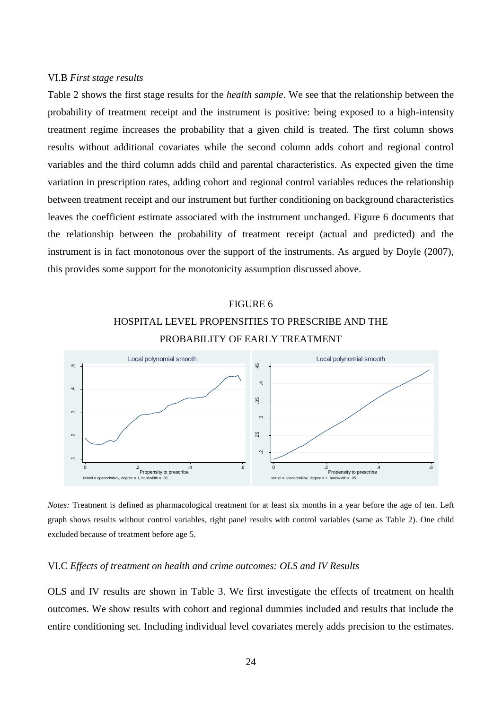#### VI.B *First stage results*

Table 2 shows the first stage results for the *health sample*. We see that the relationship between the probability of treatment receipt and the instrument is positive: being exposed to a high-intensity treatment regime increases the probability that a given child is treated. The first column shows results without additional covariates while the second column adds cohort and regional control variables and the third column adds child and parental characteristics. As expected given the time variation in prescription rates, adding cohort and regional control variables reduces the relationship between treatment receipt and our instrument but further conditioning on background characteristics leaves the coefficient estimate associated with the instrument unchanged. Figure 6 documents that the relationship between the probability of treatment receipt (actual and predicted) and the instrument is in fact monotonous over the support of the instruments. As argued by Doyle (2007), this provides some support for the monotonicity assumption discussed above.

#### FIGURE 6

HOSPITAL LEVEL PROPENSITIES TO PRESCRIBE AND THE PROBABILITY OF EARLY TREATMENT



*Notes:* Treatment is defined as pharmacological treatment for at least six months in a year before the age of ten. Left graph shows results without control variables, right panel results with control variables (same as Table 2). One child excluded because of treatment before age 5.

#### VI.C *Effects of treatment on health and crime outcomes: OLS and IV Results*

OLS and IV results are shown in Table 3. We first investigate the effects of treatment on health outcomes. We show results with cohort and regional dummies included and results that include the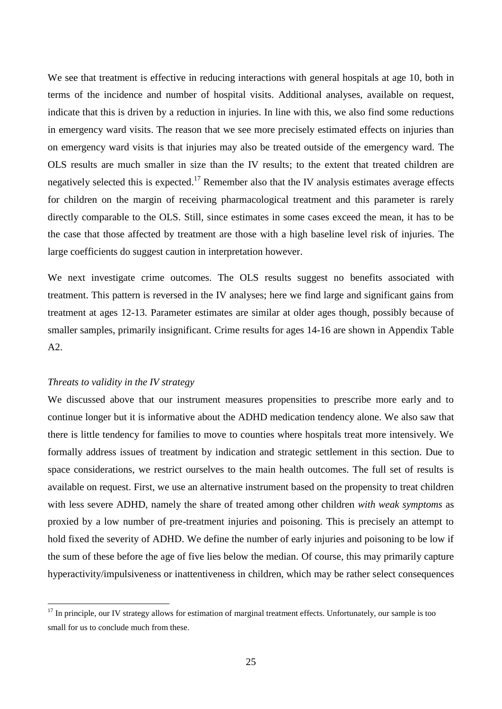We see that treatment is effective in reducing interactions with general hospitals at age 10, both in terms of the incidence and number of hospital visits. Additional analyses, available on request, indicate that this is driven by a reduction in injuries. In line with this, we also find some reductions in emergency ward visits. The reason that we see more precisely estimated effects on injuries than on emergency ward visits is that injuries may also be treated outside of the emergency ward. The OLS results are much smaller in size than the IV results; to the extent that treated children are negatively selected this is expected.<sup>17</sup> Remember also that the IV analysis estimates average effects for children on the margin of receiving pharmacological treatment and this parameter is rarely directly comparable to the OLS. Still, since estimates in some cases exceed the mean, it has to be the case that those affected by treatment are those with a high baseline level risk of injuries. The large coefficients do suggest caution in interpretation however.

We next investigate crime outcomes. The OLS results suggest no benefits associated with treatment. This pattern is reversed in the IV analyses; here we find large and significant gains from treatment at ages 12-13. Parameter estimates are similar at older ages though, possibly because of smaller samples, primarily insignificant. Crime results for ages 14-16 are shown in Appendix Table  $A2$ .

#### *Threats to validity in the IV strategy*

**.** 

We discussed above that our instrument measures propensities to prescribe more early and to continue longer but it is informative about the ADHD medication tendency alone. We also saw that there is little tendency for families to move to counties where hospitals treat more intensively. We formally address issues of treatment by indication and strategic settlement in this section. Due to space considerations, we restrict ourselves to the main health outcomes. The full set of results is available on request. First, we use an alternative instrument based on the propensity to treat children with less severe ADHD, namely the share of treated among other children *with weak symptoms* as proxied by a low number of pre-treatment injuries and poisoning. This is precisely an attempt to hold fixed the severity of ADHD. We define the number of early injuries and poisoning to be low if the sum of these before the age of five lies below the median. Of course, this may primarily capture hyperactivity/impulsiveness or inattentiveness in children, which may be rather select consequences

 $17$  In principle, our IV strategy allows for estimation of marginal treatment effects. Unfortunately, our sample is too small for us to conclude much from these.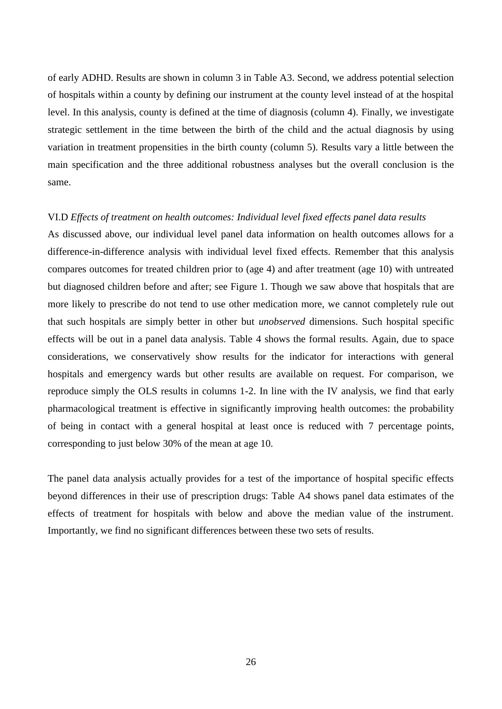of early ADHD. Results are shown in column 3 in Table A3. Second, we address potential selection of hospitals within a county by defining our instrument at the county level instead of at the hospital level. In this analysis, county is defined at the time of diagnosis (column 4). Finally, we investigate strategic settlement in the time between the birth of the child and the actual diagnosis by using variation in treatment propensities in the birth county (column 5). Results vary a little between the main specification and the three additional robustness analyses but the overall conclusion is the same.

#### VI.D *Effects of treatment on health outcomes: Individual level fixed effects panel data results*

As discussed above, our individual level panel data information on health outcomes allows for a difference-in-difference analysis with individual level fixed effects. Remember that this analysis compares outcomes for treated children prior to (age 4) and after treatment (age 10) with untreated but diagnosed children before and after; see Figure 1. Though we saw above that hospitals that are more likely to prescribe do not tend to use other medication more, we cannot completely rule out that such hospitals are simply better in other but *unobserved* dimensions. Such hospital specific effects will be out in a panel data analysis. Table 4 shows the formal results. Again, due to space considerations, we conservatively show results for the indicator for interactions with general hospitals and emergency wards but other results are available on request. For comparison, we reproduce simply the OLS results in columns 1-2. In line with the IV analysis, we find that early pharmacological treatment is effective in significantly improving health outcomes: the probability of being in contact with a general hospital at least once is reduced with 7 percentage points, corresponding to just below 30% of the mean at age 10.

The panel data analysis actually provides for a test of the importance of hospital specific effects beyond differences in their use of prescription drugs: Table A4 shows panel data estimates of the effects of treatment for hospitals with below and above the median value of the instrument. Importantly, we find no significant differences between these two sets of results.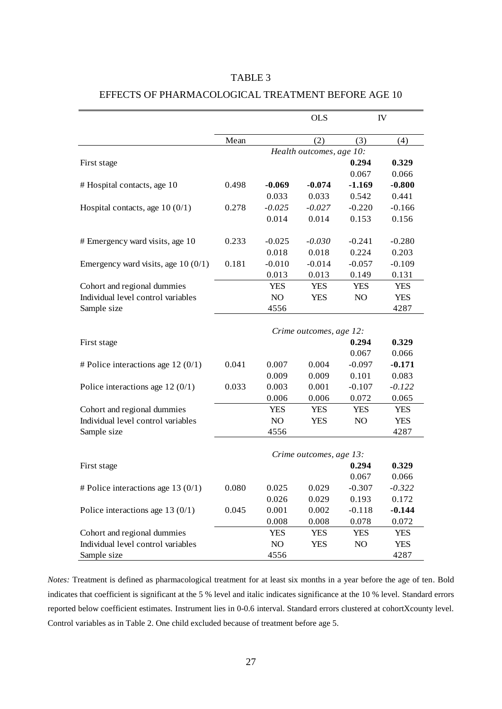|                                      |       |            | <b>OLS</b>               |            | IV         |
|--------------------------------------|-------|------------|--------------------------|------------|------------|
|                                      | Mean  |            | (2)                      | (3)        | (4)        |
|                                      |       |            | Health outcomes, age 10: |            |            |
| First stage                          |       |            |                          | 0.294      | 0.329      |
|                                      |       |            |                          | 0.067      | 0.066      |
| # Hospital contacts, age 10          | 0.498 | $-0.069$   | $-0.074$                 | $-1.169$   | $-0.800$   |
|                                      |       | 0.033      | 0.033                    | 0.542      | 0.441      |
| Hospital contacts, age $10(0/1)$     | 0.278 | $-0.025$   | $-0.027$                 | $-0.220$   | $-0.166$   |
|                                      |       | 0.014      | 0.014                    | 0.153      | 0.156      |
| # Emergency ward visits, age 10      | 0.233 | $-0.025$   | $-0.030$                 | $-0.241$   | $-0.280$   |
|                                      |       | 0.018      | 0.018                    | 0.224      | 0.203      |
| Emergency ward visits, age $10(0/1)$ | 0.181 | $-0.010$   | $-0.014$                 | $-0.057$   | $-0.109$   |
|                                      |       | 0.013      | 0.013                    | 0.149      | 0.131      |
| Cohort and regional dummies          |       | <b>YES</b> | <b>YES</b>               | <b>YES</b> | <b>YES</b> |
| Individual level control variables   |       | NO         | <b>YES</b>               | NO         | <b>YES</b> |
| Sample size                          |       | 4556       |                          |            | 4287       |
|                                      |       |            | Crime outcomes, age 12:  |            |            |
| First stage                          |       |            |                          | 0.294      | 0.329      |
|                                      |       |            |                          | 0.067      | 0.066      |
| # Police interactions age $12(0/1)$  | 0.041 | 0.007      | 0.004                    | $-0.097$   | $-0.171$   |
|                                      |       | 0.009      | 0.009                    | 0.101      | 0.083      |
| Police interactions age $12(0/1)$    | 0.033 | 0.003      | 0.001                    | $-0.107$   | $-0.122$   |
|                                      |       | 0.006      | 0.006                    | 0.072      | 0.065      |
| Cohort and regional dummies          |       | <b>YES</b> | <b>YES</b>               | <b>YES</b> | <b>YES</b> |
| Individual level control variables   |       | NO         | <b>YES</b>               | NO         | <b>YES</b> |
| Sample size                          |       | 4556       |                          |            | 4287       |
|                                      |       |            | Crime outcomes, age 13:  |            |            |
| First stage                          |       |            |                          | 0.294      | 0.329      |
|                                      |       |            |                          | 0.067      | 0.066      |
| # Police interactions age 13 $(0/1)$ | 0.080 | 0.025      | 0.029                    | $-0.307$   | $-0.322$   |
|                                      |       | 0.026      | 0.029                    | 0.193      | 0.172      |
| Police interactions age 13 $(0/1)$   | 0.045 | 0.001      | 0.002                    | $-0.118$   | $-0.144$   |
|                                      |       | 0.008      | 0.008                    | 0.078      | 0.072      |
| Cohort and regional dummies          |       | <b>YES</b> | <b>YES</b>               | <b>YES</b> | <b>YES</b> |
| Individual level control variables   |       | NO         | <b>YES</b>               | NO         | <b>YES</b> |
| Sample size                          |       | 4556       |                          |            | 4287       |

# TABLE 3

### EFFECTS OF PHARMACOLOGICAL TREATMENT BEFORE AGE 10

*Notes:* Treatment is defined as pharmacological treatment for at least six months in a year before the age of ten. Bold indicates that coefficient is significant at the 5 % level and italic indicates significance at the 10 % level. Standard errors reported below coefficient estimates. Instrument lies in 0-0.6 interval. Standard errors clustered at cohortXcounty level. Control variables as in Table 2. One child excluded because of treatment before age 5.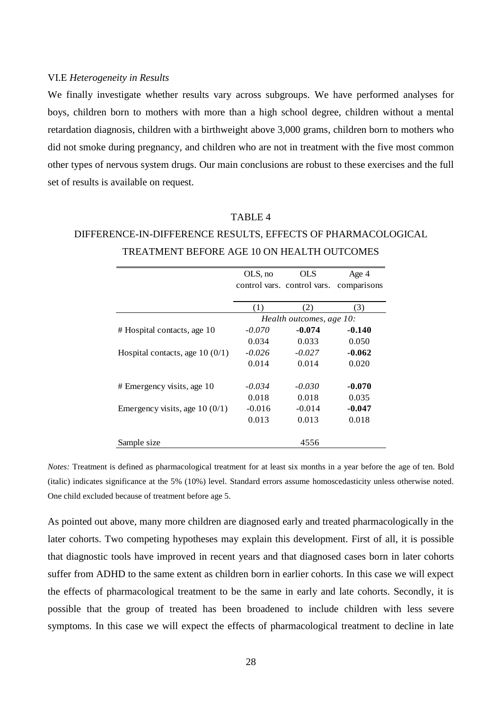#### VI.E *Heterogeneity in Results*

Sample size

We finally investigate whether results vary across subgroups. We have performed analyses for boys, children born to mothers with more than a high school degree, children without a mental retardation diagnosis, children with a birthweight above 3,000 grams, children born to mothers who did not smoke during pregnancy, and children who are not in treatment with the five most common other types of nervous system drugs. Our main conclusions are robust to these exercises and the full set of results is available on request.

# OLS, no OLS Age 4 control vars. control vars. comparisons (1)  $(2)$   $(3)$ # Hospital contacts, age 10 *-0.070* **-0.074 -0.140** 0.034 0.033 0.050 Hospital contacts, age 10 (0/1) *-0.026 -0.027* **-0.062** 0.014 0.014 0.020 # Emergency visits, age 10 *-0.034 -0.030* **-0.070** 0.018 0.018 0.035 Emergency visits, age 10 (0/1) -0.016 -0.014 **-0.047** 0.013 0.013 0.018 *Health outcomes, age 10:*

#### TABLE 4

### DIFFERENCE-IN-DIFFERENCE RESULTS, EFFECTS OF PHARMACOLOGICAL TREATMENT BEFORE AGE 10 ON HEALTH OUTCOMES

*Notes:* Treatment is defined as pharmacological treatment for at least six months in a year before the age of ten. Bold (italic) indicates significance at the 5% (10%) level. Standard errors assume homoscedasticity unless otherwise noted. One child excluded because of treatment before age 5.

4556

As pointed out above, many more children are diagnosed early and treated pharmacologically in the later cohorts. Two competing hypotheses may explain this development. First of all, it is possible that diagnostic tools have improved in recent years and that diagnosed cases born in later cohorts suffer from ADHD to the same extent as children born in earlier cohorts. In this case we will expect the effects of pharmacological treatment to be the same in early and late cohorts. Secondly, it is possible that the group of treated has been broadened to include children with less severe symptoms. In this case we will expect the effects of pharmacological treatment to decline in late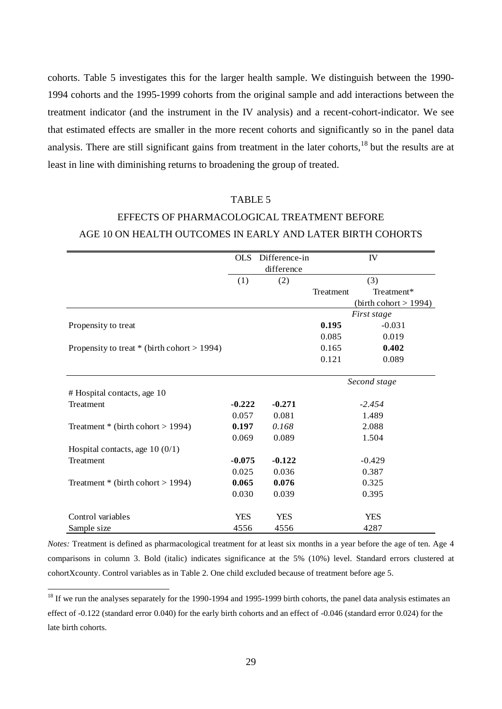cohorts. Table 5 investigates this for the larger health sample. We distinguish between the 1990- 1994 cohorts and the 1995-1999 cohorts from the original sample and add interactions between the treatment indicator (and the instrument in the IV analysis) and a recent-cohort-indicator. We see that estimated effects are smaller in the more recent cohorts and significantly so in the panel data analysis. There are still significant gains from treatment in the later cohorts,<sup>18</sup> but the results are at least in line with diminishing returns to broadening the group of treated.

### TABLE 5

## EFFECTS OF PHARMACOLOGICAL TREATMENT BEFORE AGE 10 ON HEALTH OUTCOMES IN EARLY AND LATER BIRTH COHORTS

|                                               | OLS.       | Difference-in |           | <b>IV</b>                      |
|-----------------------------------------------|------------|---------------|-----------|--------------------------------|
|                                               |            | difference    |           |                                |
|                                               | (1)        | (2)           |           | (3)                            |
|                                               |            |               | Treatment | Treatment*                     |
|                                               |            |               |           | $\text{(birth cohort} > 1994)$ |
|                                               |            |               |           | First stage                    |
| Propensity to treat                           |            |               | 0.195     | $-0.031$                       |
|                                               |            |               | 0.085     | 0.019                          |
| Propensity to treat $*$ (birth cohort > 1994) |            |               | 0.165     | 0.402                          |
|                                               |            |               | 0.121     | 0.089                          |
|                                               |            |               |           |                                |
|                                               |            |               |           | Second stage                   |
| # Hospital contacts, age 10                   |            |               |           |                                |
| Treatment                                     | $-0.222$   | $-0.271$      |           | $-2.454$                       |
|                                               | 0.057      | 0.081         |           | 1.489                          |
| Treatment $*$ (birth cohort $>$ 1994)         | 0.197      | 0.168         |           | 2.088                          |
|                                               | 0.069      | 0.089         |           | 1.504                          |
| Hospital contacts, age $10(0/1)$              |            |               |           |                                |
| Treatment                                     | $-0.075$   | $-0.122$      |           | $-0.429$                       |
|                                               | 0.025      | 0.036         |           | 0.387                          |
| Treatment $*$ (birth cohort > 1994)           | 0.065      | 0.076         |           | 0.325                          |
|                                               | 0.030      | 0.039         |           | 0.395                          |
|                                               |            |               |           |                                |
| Control variables                             | <b>YES</b> | <b>YES</b>    |           | <b>YES</b>                     |
| Sample size                                   | 4556       | 4556          |           | 4287                           |

*Notes:* Treatment is defined as pharmacological treatment for at least six months in a year before the age of ten. Age 4 comparisons in column 3. Bold (italic) indicates significance at the 5% (10%) level. Standard errors clustered at cohortXcounty. Control variables as in Table 2. One child excluded because of treatment before age 5.

 $\overline{a}$ 

 $18$  If we run the analyses separately for the 1990-1994 and 1995-1999 birth cohorts, the panel data analysis estimates an effect of -0.122 (standard error 0.040) for the early birth cohorts and an effect of -0.046 (standard error 0.024) for the late birth cohorts.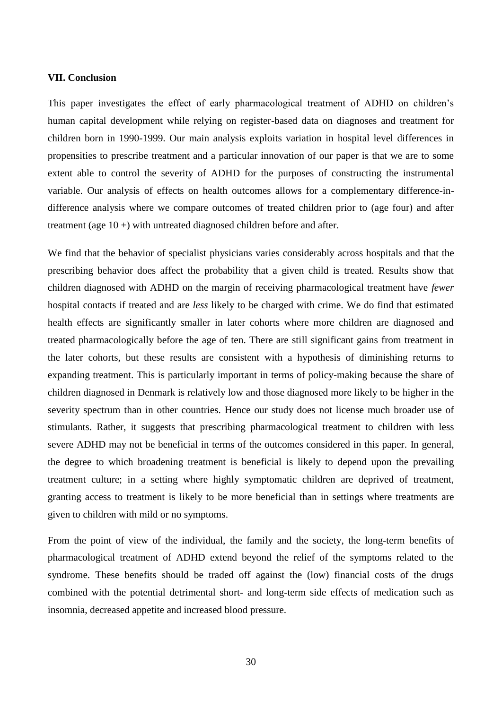#### **VII. Conclusion**

This paper investigates the effect of early pharmacological treatment of ADHD on children's human capital development while relying on register-based data on diagnoses and treatment for children born in 1990-1999. Our main analysis exploits variation in hospital level differences in propensities to prescribe treatment and a particular innovation of our paper is that we are to some extent able to control the severity of ADHD for the purposes of constructing the instrumental variable. Our analysis of effects on health outcomes allows for a complementary difference-indifference analysis where we compare outcomes of treated children prior to (age four) and after treatment (age 10 +) with untreated diagnosed children before and after.

We find that the behavior of specialist physicians varies considerably across hospitals and that the prescribing behavior does affect the probability that a given child is treated. Results show that children diagnosed with ADHD on the margin of receiving pharmacological treatment have *fewer* hospital contacts if treated and are *less* likely to be charged with crime. We do find that estimated health effects are significantly smaller in later cohorts where more children are diagnosed and treated pharmacologically before the age of ten. There are still significant gains from treatment in the later cohorts, but these results are consistent with a hypothesis of diminishing returns to expanding treatment. This is particularly important in terms of policy-making because the share of children diagnosed in Denmark is relatively low and those diagnosed more likely to be higher in the severity spectrum than in other countries. Hence our study does not license much broader use of stimulants. Rather, it suggests that prescribing pharmacological treatment to children with less severe ADHD may not be beneficial in terms of the outcomes considered in this paper. In general, the degree to which broadening treatment is beneficial is likely to depend upon the prevailing treatment culture; in a setting where highly symptomatic children are deprived of treatment, granting access to treatment is likely to be more beneficial than in settings where treatments are given to children with mild or no symptoms.

From the point of view of the individual, the family and the society, the long-term benefits of pharmacological treatment of ADHD extend beyond the relief of the symptoms related to the syndrome. These benefits should be traded off against the (low) financial costs of the drugs combined with the potential detrimental short- and long-term side effects of medication such as insomnia, decreased appetite and increased blood pressure.

30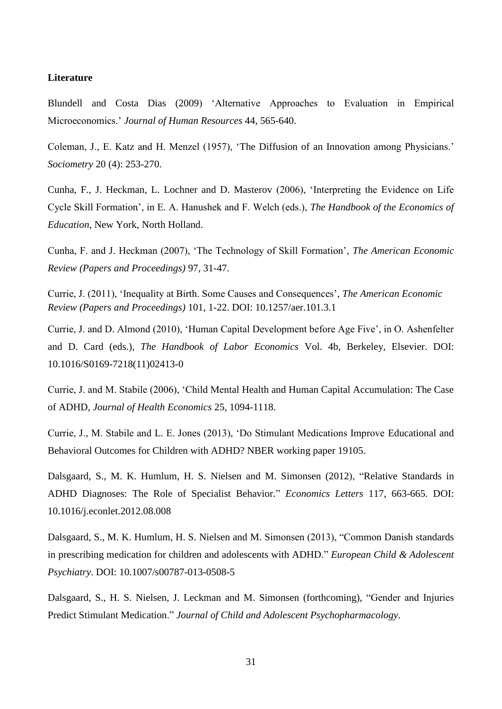#### **Literature**

Blundell and Costa Dias (2009) 'Alternative Approaches to Evaluation in Empirical Microeconomics.' *Journal of Human Resources* 44, 565-640.

Coleman, J., E. Katz and H. Menzel (1957), 'The Diffusion of an Innovation among Physicians.' *Sociometry* 20 (4): 253-270.

Cunha, F., J. Heckman, L. Lochner and D. Masterov (2006), 'Interpreting the Evidence on Life Cycle Skill Formation', in E. A. Hanushek and F. Welch (eds.), *The Handbook of the Economics of Education*, New York, North Holland.

Cunha, F. and J. Heckman (2007), 'The Technology of Skill Formation', *The American Economic Review (Papers and Proceedings)* 97, 31-47.

Currie, J. (2011), 'Inequality at Birth. Some Causes and Consequences', *The American Economic Review (Papers and Proceedings)* 101, 1-22. DOI: 10.1257/aer.101.3.1

Currie, J. and D. Almond (2010), 'Human Capital Development before Age Five', in O. Ashenfelter and D. Card (eds.), *The Handbook of Labor Economics* Vol. 4b, Berkeley, Elsevier. DOI: 10.1016/S0169-7218(11)02413-0

Currie, J. and M. Stabile (2006), 'Child Mental Health and Human Capital Accumulation: The Case of ADHD, *Journal of Health Economics* 25, 1094-1118.

Currie, J., M. Stabile and L. E. Jones (2013), 'Do Stimulant Medications Improve Educational and Behavioral Outcomes for Children with ADHD? NBER working paper 19105.

Dalsgaard, S., M. K. Humlum, H. S. Nielsen and M. Simonsen (2012), "Relative Standards in ADHD Diagnoses: The Role of Specialist Behavior." *Economics Letters* 117, 663-665. DOI: 10.1016/j.econlet.2012.08.008

Dalsgaard, S., M. K. Humlum, H. S. Nielsen and M. Simonsen (2013), "Common Danish standards in prescribing medication for children and adolescents with ADHD." *European Child & Adolescent Psychiatry*. DOI: 10.1007/s00787-013-0508-5

Dalsgaard, S., H. S. Nielsen, J. Leckman and M. Simonsen (forthcoming), "Gender and Injuries Predict Stimulant Medication." *Journal of Child and Adolescent Psychopharmacology*.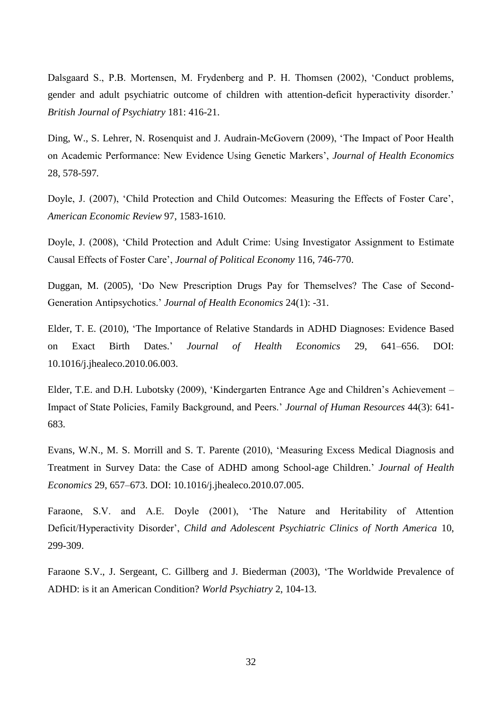Dalsgaard S., P.B. Mortensen, M. Frydenberg and P. H. Thomsen (2002), 'Conduct problems, gender and adult psychiatric outcome of children with attention-deficit hyperactivity disorder.' *British Journal of Psychiatry* 181: 416-21.

Ding, W., S. Lehrer, N. Rosenquist and J. Audrain-McGovern (2009), 'The Impact of Poor Health on Academic Performance: New Evidence Using Genetic Markers', *Journal of Health Economics* 28, 578-597*.*

Doyle, J. (2007), 'Child Protection and Child Outcomes: Measuring the Effects of Foster Care', *American Economic Review* 97, 1583-1610.

Doyle, J. (2008), 'Child Protection and Adult Crime: Using Investigator Assignment to Estimate Causal Effects of Foster Care', *Journal of Political Economy* 116, 746-770.

Duggan, M. (2005), 'Do New Prescription Drugs Pay for Themselves? The Case of Second-Generation Antipsychotics.' *Journal of Health Economics* 24(1): -31.

Elder, T. E. (2010), 'The Importance of Relative Standards in ADHD Diagnoses: Evidence Based on Exact Birth Dates.' *Journal of Health Economics* 29, 641–656. DOI: 10.1016/j.jhealeco.2010.06.003.

Elder, T.E. and D.H. Lubotsky (2009), 'Kindergarten Entrance Age and Children's Achievement – Impact of State Policies, Family Background, and Peers.' *Journal of Human Resources* 44(3): 641- 683.

Evans, W.N., M. S. Morrill and S. T. Parente (2010), 'Measuring Excess Medical Diagnosis and Treatment in Survey Data: the Case of ADHD among School-age Children.' *Journal of Health Economics* 29, 657–673. DOI: 10.1016/j.jhealeco.2010.07.005.

Faraone, S.V. and A.E. Doyle (2001), 'The Nature and Heritability of Attention Deficit/Hyperactivity Disorder', *Child and Adolescent Psychiatric Clinics of North America* 10, 299-309.

Faraone S.V., J. Sergeant, C. Gillberg and J. Biederman (2003), 'The Worldwide Prevalence of ADHD: is it an American Condition? *World Psychiatry* 2, 104-13.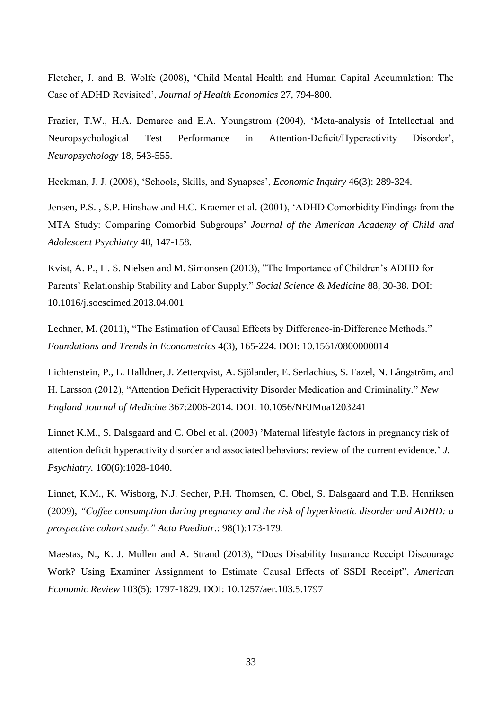Fletcher, J. and B. Wolfe (2008), 'Child Mental Health and Human Capital Accumulation: The Case of ADHD Revisited', *Journal of Health Economics* 27, 794-800.

Frazier, T.W., H.A. Demaree and E.A. Youngstrom (2004), 'Meta-analysis of Intellectual and Neuropsychological Test Performance in Attention-Deficit/Hyperactivity Disorder', *Neuropsychology* 18, 543-555.

Heckman, J. J. (2008), 'Schools, Skills, and Synapses', *Economic Inquiry* 46(3): 289-324.

Jensen, P.S. , S.P. Hinshaw and H.C. Kraemer et al. (2001), 'ADHD Comorbidity Findings from the MTA Study: Comparing Comorbid Subgroups' *Journal of the American Academy of Child and Adolescent Psychiatry* 40, 147-158.

Kvist, A. P., H. S. Nielsen and M. Simonsen (2013), "The Importance of Children's ADHD for Parents' Relationship Stability and Labor Supply." *Social Science & Medicine* 88, 30-38. DOI: 10.1016/j.socscimed.2013.04.001

Lechner, M. (2011), "The Estimation of Causal Effects by Difference-in-Difference Methods." *Foundations and Trends in Econometrics* 4(3), 165-224. DOI: 10.1561/0800000014

Lichtenstein, P., L. Halldner, J. Zetterqvist, A. Sjölander, E. Serlachius, S. Fazel, N. Långström, and H. Larsson (2012), "Attention Deficit Hyperactivity Disorder Medication and Criminality." *New England Journal of Medicine* 367:2006-2014. DOI: 10.1056/NEJMoa1203241

Linnet K.M., S. Dalsgaard and C. Obel et al. (2003) 'Maternal lifestyle factors in pregnancy risk of attention deficit hyperactivity disorder and associated behaviors: review of the current evidence.' *J. Psychiatry.* 160(6):1028-1040.

Linnet, K.M., K. Wisborg, N.J. Secher, P.H. Thomsen, C. Obel, S. Dalsgaard and T.B. Henriksen (2009), *"Coffee consumption during pregnancy and the risk of hyperkinetic disorder and ADHD: a prospective cohort study." Acta Paediatr*.: 98(1):173-179.

Maestas, N., K. J. Mullen and A. Strand (2013), "Does Disability Insurance Receipt Discourage Work? Using Examiner Assignment to Estimate Causal Effects of SSDI Receipt", *American Economic Review* 103(5): 1797-1829*.* DOI: 10.1257/aer.103.5.1797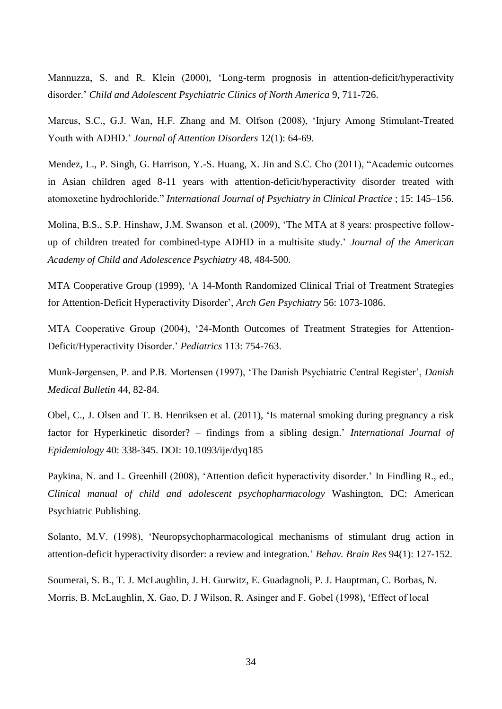Mannuzza, S. and R. Klein (2000), 'Long-term prognosis in attention-deficit/hyperactivity disorder.' *Child and Adolescent Psychiatric Clinics of North America* 9, 711-726.

Marcus, S.C., G.J. Wan, H.F. Zhang and M. Olfson (2008), 'Injury Among Stimulant-Treated Youth with ADHD.' *Journal of Attention Disorders* 12(1): 64-69.

Mendez, L., P. Singh, G. Harrison, Y.-S. Huang, X. Jin and S.C. Cho (2011), "Academic outcomes in Asian children aged 8-11 years with attention-deficit/hyperactivity disorder treated with atomoxetine hydrochloride." *International Journal of Psychiatry in Clinical Practice* ; 15: 145–156.

Molina, B.S., S.P. Hinshaw, J.M. Swanson et al. (2009), 'The MTA at 8 years: prospective followup of children treated for combined-type ADHD in a multisite study.' *Journal of the American Academy of Child and Adolescence Psychiatry* 48, 484-500.

MTA Cooperative Group (1999), 'A 14-Month Randomized Clinical Trial of Treatment Strategies for Attention-Deficit Hyperactivity Disorder', *Arch Gen Psychiatry* 56: 1073-1086.

MTA Cooperative Group (2004), '24-Month Outcomes of Treatment Strategies for Attention-Deficit/Hyperactivity Disorder.' *Pediatrics* 113: 754-763.

Munk-Jørgensen, P. and P.B. Mortensen (1997), 'The Danish Psychiatric Central Register', *Danish Medical Bulletin* 44, 82-84.

Obel, C., J. Olsen and T. B. Henriksen et al. (2011), 'Is maternal smoking during pregnancy a risk factor for Hyperkinetic disorder? – findings from a sibling design.' *International Journal of Epidemiology* 40: 338-345. DOI: 10.1093/ije/dyq185

Paykina, N. and L. Greenhill (2008), 'Attention deficit hyperactivity disorder.' In Findling R., ed., *Clinical manual of child and adolescent psychopharmacology* Washington, DC: American Psychiatric Publishing.

Solanto, M.V. (1998), 'Neuropsychopharmacological mechanisms of stimulant drug action in attention-deficit hyperactivity disorder: a review and integration.' *Behav. Brain Res* 94(1): 127-152.

Soumerai, S. B., T. J. McLaughlin, J. H. Gurwitz, E. Guadagnoli, P. J. Hauptman, C. Borbas, N. Morris, B. McLaughlin, X. Gao, D. J Wilson, R. Asinger and F. Gobel (1998), 'Effect of local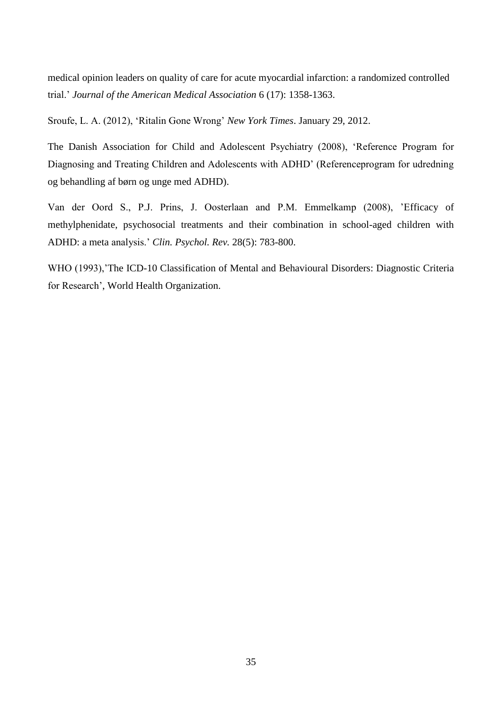medical opinion leaders on quality of care for acute myocardial infarction: a randomized controlled trial.' *Journal of the American Medical Association* 6 (17): 1358-1363.

Sroufe, L. A. (2012), 'Ritalin Gone Wrong' *New York Times*. January 29, 2012.

The Danish Association for Child and Adolescent Psychiatry (2008), 'Reference Program for Diagnosing and Treating Children and Adolescents with ADHD' (Referenceprogram for udredning og behandling af børn og unge med ADHD).

Van der Oord S., P.J. Prins, J. Oosterlaan and P.M. Emmelkamp (2008), 'Efficacy of methylphenidate, psychosocial treatments and their combination in school-aged children with ADHD: a meta analysis.' *Clin. Psychol. Rev.* 28(5): 783-800.

WHO (1993), 'The ICD-10 Classification of Mental and Behavioural Disorders: Diagnostic Criteria for Research', World Health Organization.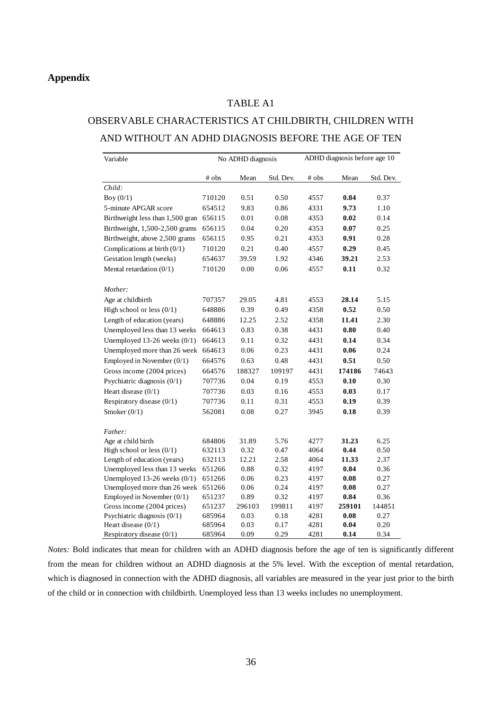### TABLE A1

# OBSERVABLE CHARACTERISTICS AT CHILDBIRTH, CHILDREN WITH AND WITHOUT AN ADHD DIAGNOSIS BEFORE THE AGE OF TEN

| Variable                         | No ADHD diagnosis |        | ADHD diagnosis before age 10 |       |        |           |
|----------------------------------|-------------------|--------|------------------------------|-------|--------|-----------|
|                                  |                   |        |                              |       |        |           |
|                                  | # obs             | Mean   | Std. Dev.                    | # obs | Mean   | Std. Dev. |
| Child:                           |                   |        |                              |       |        |           |
| Boy $(0/1)$                      | 710120            | 0.51   | 0.50                         | 4557  | 0.84   | 0.37      |
| 5-minute APGAR score             | 654512            | 9.83   | 0.86                         | 4331  | 9.73   | 1.10      |
| Birthweight less than 1,500 gran | 656115            | 0.01   | 0.08                         | 4353  | 0.02   | 0.14      |
| Birthweight, 1,500-2,500 grams   | 656115            | 0.04   | 0.20                         | 4353  | 0.07   | 0.25      |
| Birthweight, above 2,500 grams   | 656115            | 0.95   | 0.21                         | 4353  | 0.91   | 0.28      |
| Complications at birth $(0/1)$   | 710120            | 0.21   | 0.40                         | 4557  | 0.29   | 0.45      |
| Gestation length (weeks)         | 654637            | 39.59  | 1.92                         | 4346  | 39.21  | 2.53      |
| Mental retardation $(0/1)$       | 710120            | 0.00   | 0.06                         | 4557  | 0.11   | 0.32      |
|                                  |                   |        |                              |       |        |           |
| Mother:                          |                   |        |                              |       |        |           |
| Age at childbirth                | 707357            | 29.05  | 4.81                         | 4553  | 28.14  | 5.15      |
| High school or less $(0/1)$      | 648886            | 0.39   | 0.49                         | 4358  | 0.52   | 0.50      |
| Length of education (years)      | 648886            | 12.25  | 2.52                         | 4358  | 11.41  | 2.30      |
| Unemployed less than 13 weeks    | 664613            | 0.83   | 0.38                         | 4431  | 0.80   | 0.40      |
| Unemployed 13-26 weeks $(0/1)$   | 664613            | 0.11   | 0.32                         | 4431  | 0.14   | 0.34      |
| Unemployed more than 26 week     | 664613            | 0.06   | 0.23                         | 4431  | 0.06   | 0.24      |
| Employed in November $(0/1)$     | 664576            | 0.63   | 0.48                         | 4431  | 0.51   | 0.50      |
| Gross income (2004 prices)       | 664576            | 188327 | 109197                       | 4431  | 174186 | 74643     |
| Psychiatric diagnosis $(0/1)$    | 707736            | 0.04   | 0.19                         | 4553  | 0.10   | 0.30      |
| Heart disease $(0/1)$            | 707736            | 0.03   | 0.16                         | 4553  | 0.03   | 0.17      |
| Respiratory disease $(0/1)$      | 707736            | 0.11   | 0.31                         | 4553  | 0.19   | 0.39      |
| Smoker $(0/1)$                   | 562081            | 0.08   | 0.27                         | 3945  | 0.18   | 0.39      |
|                                  |                   |        |                              |       |        |           |
| Father:                          |                   |        |                              |       |        |           |
| Age at child birth               | 684806            | 31.89  | 5.76                         | 4277  | 31.23  | 6.25      |
| High school or less $(0/1)$      | 632113            | 0.32   | 0.47                         | 4064  | 0.44   | 0.50      |
| Length of education (years)      | 632113            | 12.21  | 2.58                         | 4064  | 11.33  | 2.37      |
| Unemployed less than 13 weeks    | 651266            | 0.88   | 0.32                         | 4197  | 0.84   | 0.36      |
| Unemployed $13-26$ weeks $(0/1)$ | 651266            | 0.06   | 0.23                         | 4197  | 0.08   | 0.27      |
| Unemployed more than 26 week     | 651266            | 0.06   | 0.24                         | 4197  | 0.08   | 0.27      |
| Employed in November $(0/1)$     | 651237            | 0.89   | 0.32                         | 4197  | 0.84   | 0.36      |
| Gross income (2004 prices)       | 651237            | 296103 | 199811                       | 4197  | 259101 | 144851    |
| Psychiatric diagnosis $(0/1)$    | 685964            | 0.03   | 0.18                         | 4281  | 0.08   | 0.27      |
| Heart disease $(0/1)$            | 685964            | 0.03   | 0.17                         | 4281  | 0.04   | 0.20      |
| Respiratory disease $(0/1)$      | 685964            | 0.09   | 0.29                         | 4281  | 0.14   | 0.34      |

*Notes:* Bold indicates that mean for children with an ADHD diagnosis before the age of ten is significantly different from the mean for children without an ADHD diagnosis at the 5% level. With the exception of mental retardation, which is diagnosed in connection with the ADHD diagnosis, all variables are measured in the year just prior to the birth of the child or in connection with childbirth. Unemployed less than 13 weeks includes no unemployment.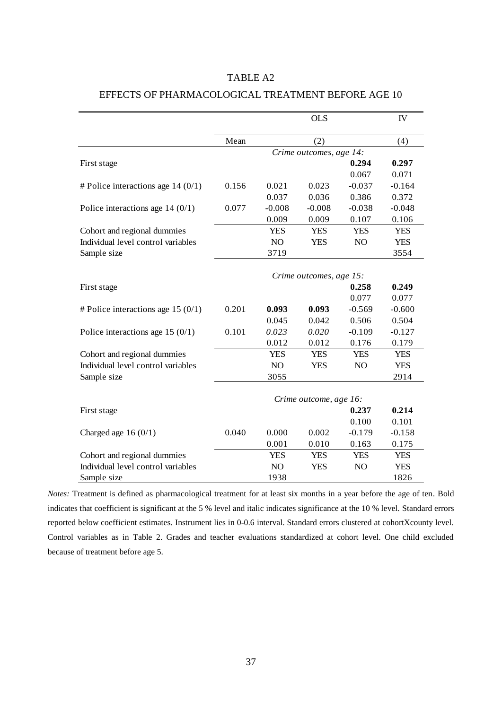|                                      |       |                | <b>OLS</b>              |            | IV         |
|--------------------------------------|-------|----------------|-------------------------|------------|------------|
|                                      | Mean  |                | (2)                     |            | (4)        |
|                                      |       |                | Crime outcomes, age 14: |            |            |
| First stage                          |       |                |                         | 0.294      | 0.297      |
|                                      |       |                |                         | 0.067      | 0.071      |
| # Police interactions age 14 (0/1)   | 0.156 | 0.021          | 0.023                   | $-0.037$   | $-0.164$   |
|                                      |       | 0.037          | 0.036                   | 0.386      | 0.372      |
| Police interactions age $14(0/1)$    | 0.077 | $-0.008$       | $-0.008$                | $-0.038$   | $-0.048$   |
|                                      |       | 0.009          | 0.009                   | 0.107      | 0.106      |
| Cohort and regional dummies          |       | <b>YES</b>     | <b>YES</b>              | <b>YES</b> | <b>YES</b> |
| Individual level control variables   |       | NO             | <b>YES</b>              | NO         | <b>YES</b> |
| Sample size                          |       | 3719           |                         |            | 3554       |
|                                      |       |                | Crime outcomes, age 15: |            |            |
| First stage                          |       |                |                         | 0.258      | 0.249      |
|                                      |       |                |                         | 0.077      | 0.077      |
| # Police interactions age 15 $(0/1)$ | 0.201 | 0.093          | 0.093                   | $-0.569$   | $-0.600$   |
|                                      |       | 0.045          | 0.042                   | 0.506      | 0.504      |
| Police interactions age $15(0/1)$    | 0.101 | 0.023          | 0.020                   | $-0.109$   | $-0.127$   |
|                                      |       | 0.012          | 0.012                   | 0.176      | 0.179      |
| Cohort and regional dummies          |       | <b>YES</b>     | <b>YES</b>              | <b>YES</b> | <b>YES</b> |
| Individual level control variables   |       | NO             | <b>YES</b>              | NO         | <b>YES</b> |
| Sample size                          |       | 3055           |                         |            | 2914       |
|                                      |       |                |                         |            |            |
|                                      |       |                | Crime outcome, age 16:  |            |            |
| First stage                          |       |                |                         | 0.237      | 0.214      |
|                                      |       |                |                         | 0.100      | 0.101      |
| Charged age $16(0/1)$                | 0.040 | 0.000          | 0.002                   | $-0.179$   | $-0.158$   |
|                                      |       | 0.001          | 0.010                   | 0.163      | 0.175      |
| Cohort and regional dummies          |       | <b>YES</b>     | <b>YES</b>              | <b>YES</b> | <b>YES</b> |
| Individual level control variables   |       | N <sub>O</sub> | <b>YES</b>              | NO         | <b>YES</b> |
| Sample size                          |       | 1938           |                         |            | 1826       |

### TABLE A2

#### EFFECTS OF PHARMACOLOGICAL TREATMENT BEFORE AGE 10

*Notes:* Treatment is defined as pharmacological treatment for at least six months in a year before the age of ten. Bold indicates that coefficient is significant at the 5 % level and italic indicates significance at the 10 % level. Standard errors reported below coefficient estimates. Instrument lies in 0-0.6 interval. Standard errors clustered at cohortXcounty level. Control variables as in Table 2. Grades and teacher evaluations standardized at cohort level. One child excluded because of treatment before age 5.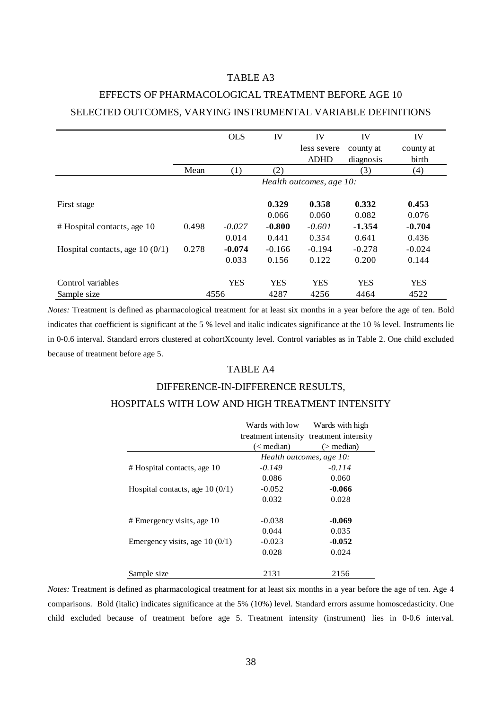#### TABLE A3

# EFFECTS OF PHARMACOLOGICAL TREATMENT BEFORE AGE 10 SELECTED OUTCOMES, VARYING INSTRUMENTAL VARIABLE DEFINITIONS

|                                  |       | <b>OLS</b> | IV         | <b>IV</b>                | <b>IV</b>  | IV         |
|----------------------------------|-------|------------|------------|--------------------------|------------|------------|
|                                  |       |            |            | less severe              | county at  | county at  |
|                                  |       |            |            | <b>ADHD</b>              | diagnosis  | birth      |
|                                  | Mean  | (1)        | (2)        |                          | (3)        | (4)        |
|                                  |       |            |            | Health outcomes, age 10: |            |            |
| First stage                      |       |            | 0.329      | 0.358                    | 0.332      | 0.453      |
|                                  |       |            | 0.066      | 0.060                    | 0.082      | 0.076      |
| # Hospital contacts, age 10      | 0.498 | $-0.027$   | $-0.800$   | $-0.601$                 | $-1.354$   | $-0.704$   |
|                                  |       | 0.014      | 0.441      | 0.354                    | 0.641      | 0.436      |
| Hospital contacts, age $10(0/1)$ | 0.278 | $-0.074$   | $-0.166$   | $-0.194$                 | $-0.278$   | $-0.024$   |
|                                  |       | 0.033      | 0.156      | 0.122                    | 0.200      | 0.144      |
| Control variables                |       | <b>YES</b> | <b>YES</b> | <b>YES</b>               | <b>YES</b> | <b>YES</b> |
| Sample size                      |       | 4556       | 4287       | 4256                     | 4464       | 4522       |

*Notes:* Treatment is defined as pharmacological treatment for at least six months in a year before the age of ten. Bold indicates that coefficient is significant at the 5 % level and italic indicates significance at the 10 % level. Instruments lie in 0-0.6 interval. Standard errors clustered at cohortXcounty level. Control variables as in Table 2. One child excluded because of treatment before age 5.

### TABLE A4

### DIFFERENCE-IN-DIFFERENCE RESULTS, HOSPITALS WITH LOW AND HIGH TREATMENT INTENSITY

|                                  | Wards with low             | Wards with high                         |
|----------------------------------|----------------------------|-----------------------------------------|
|                                  |                            | treatment intensity treatment intensity |
|                                  | $\left($ $\right)$ median) | $($ median $)$                          |
|                                  | Health outcomes, age 10:   |                                         |
| # Hospital contacts, age 10      | $-0.149$                   | $-0.114$                                |
|                                  | 0.086                      | 0.060                                   |
| Hospital contacts, age $10(0/1)$ | $-0.052$                   | $-0.066$                                |
|                                  | 0.032                      | 0.028                                   |
| $\#$ Emergency visits, age 10    | $-0.038$                   | $-0.069$                                |
|                                  | 0.044                      | 0.035                                   |
| Emergency visits, age $10(0/1)$  | $-0.023$                   | $-0.052$                                |
|                                  | 0.028                      | 0.024                                   |
| Sample size                      | 2131                       | 2156                                    |

*Notes:* Treatment is defined as pharmacological treatment for at least six months in a year before the age of ten. Age 4 comparisons. Bold (italic) indicates significance at the 5% (10%) level. Standard errors assume homoscedasticity. One child excluded because of treatment before age 5. Treatment intensity (instrument) lies in 0-0.6 interval.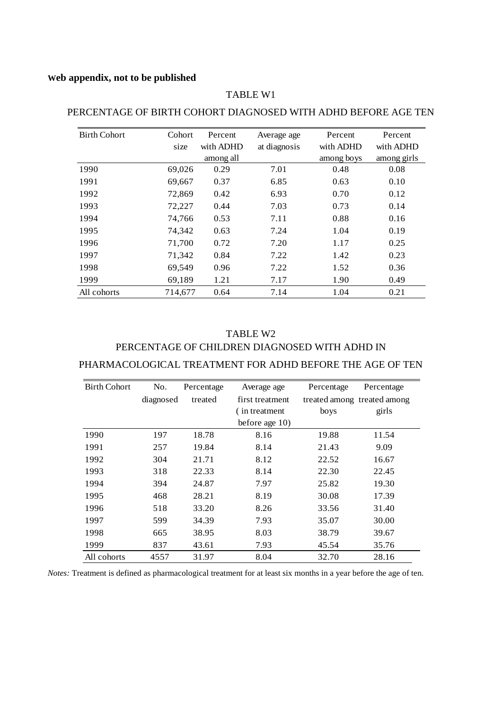### **Web appendix, not to be published**

#### TABLE W1

| <b>Birth Cohort</b> | Cohort  | Percent   | Average age  | Percent    | Percent     |
|---------------------|---------|-----------|--------------|------------|-------------|
|                     | size    | with ADHD | at diagnosis | with ADHD  | with ADHD   |
|                     |         | among all |              | among boys | among girls |
| 1990                | 69,026  | 0.29      | 7.01         | 0.48       | 0.08        |
| 1991                | 69,667  | 0.37      | 6.85         | 0.63       | 0.10        |
| 1992                | 72,869  | 0.42      | 6.93         | 0.70       | 0.12        |
| 1993                | 72,227  | 0.44      | 7.03         | 0.73       | 0.14        |
| 1994                | 74,766  | 0.53      | 7.11         | 0.88       | 0.16        |
| 1995                | 74,342  | 0.63      | 7.24         | 1.04       | 0.19        |
| 1996                | 71,700  | 0.72      | 7.20         | 1.17       | 0.25        |
| 1997                | 71,342  | 0.84      | 7.22         | 1.42       | 0.23        |
| 1998                | 69,549  | 0.96      | 7.22         | 1.52       | 0.36        |
| 1999                | 69,189  | 1.21      | 7.17         | 1.90       | 0.49        |
| All cohorts         | 714,677 | 0.64      | 7.14         | 1.04       | 0.21        |

### PERCENTAGE OF BIRTH COHORT DIAGNOSED WITH ADHD BEFORE AGE TEN

## TABLE W2 PERCENTAGE OF CHILDREN DIAGNOSED WITH ADHD IN PHARMACOLOGICAL TREATMENT FOR ADHD BEFORE THE AGE OF TEN

| <b>Birth Cohort</b> | No.       | Percentage | Average age       | Percentage | Percentage                  |
|---------------------|-----------|------------|-------------------|------------|-----------------------------|
|                     | diagnosed | treated    | first treatment   |            | treated among treated among |
|                     |           |            | (in treatment)    | boys       | girls                       |
|                     |           |            | before age $10$ ) |            |                             |
| 1990                | 197       | 18.78      | 8.16              | 19.88      | 11.54                       |
| 1991                | 257       | 19.84      | 8.14              | 21.43      | 9.09                        |
| 1992                | 304       | 21.71      | 8.12              | 22.52      | 16.67                       |
| 1993                | 318       | 22.33      | 8.14              | 22.30      | 22.45                       |
| 1994                | 394       | 24.87      | 7.97              | 25.82      | 19.30                       |
| 1995                | 468       | 28.21      | 8.19              | 30.08      | 17.39                       |
| 1996                | 518       | 33.20      | 8.26              | 33.56      | 31.40                       |
| 1997                | 599       | 34.39      | 7.93              | 35.07      | 30.00                       |
| 1998                | 665       | 38.95      | 8.03              | 38.79      | 39.67                       |
| 1999                | 837       | 43.61      | 7.93              | 45.54      | 35.76                       |
| All cohorts         | 4557      | 31.97      | 8.04              | 32.70      | 28.16                       |

*Notes:* Treatment is defined as pharmacological treatment for at least six months in a year before the age of ten.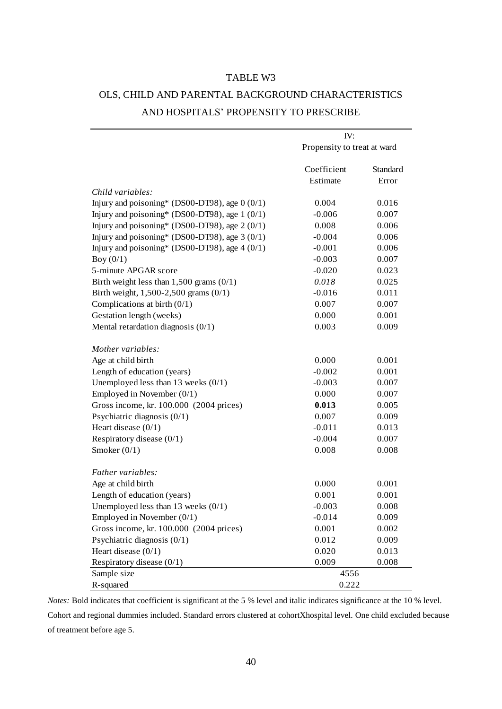| OLS, CHILD AND PARENTAL BACKGROUND CHARACTERISTICS |  |
|----------------------------------------------------|--|
| AND HOSPITALS' PROPENSITY TO PRESCRIBE             |  |

|                                                 | IV:                         |          |  |
|-------------------------------------------------|-----------------------------|----------|--|
|                                                 | Propensity to treat at ward |          |  |
|                                                 | Coefficient                 | Standard |  |
|                                                 | Estimate                    | Error    |  |
| Child variables:                                |                             |          |  |
| Injury and poisoning* (DS00-DT98), age $0(0/1)$ | 0.004                       | 0.016    |  |
| Injury and poisoning* (DS00-DT98), age $1(0/1)$ | $-0.006$                    | 0.007    |  |
| Injury and poisoning* (DS00-DT98), age $2(0/1)$ | 0.008                       | 0.006    |  |
| Injury and poisoning* (DS00-DT98), age $3(0/1)$ | $-0.004$                    | 0.006    |  |
| Injury and poisoning* (DS00-DT98), age $4(0/1)$ | $-0.001$                    | 0.006    |  |
| Boy $(0/1)$                                     | $-0.003$                    | 0.007    |  |
| 5-minute APGAR score                            | $-0.020$                    | 0.023    |  |
| Birth weight less than $1,500$ grams $(0/1)$    | 0.018                       | 0.025    |  |
| Birth weight, $1,500-2,500$ grams $(0/1)$       | $-0.016$                    | 0.011    |  |
| Complications at birth $(0/1)$                  | 0.007                       | 0.007    |  |
| Gestation length (weeks)                        | 0.000                       | 0.001    |  |
| Mental retardation diagnosis $(0/1)$            | 0.003                       | 0.009    |  |
| Mother variables:                               |                             |          |  |
| Age at child birth                              | 0.000                       | 0.001    |  |
| Length of education (years)                     | $-0.002$                    | 0.001    |  |
| Unemployed less than 13 weeks $(0/1)$           | $-0.003$                    | 0.007    |  |
| Employed in November (0/1)                      | 0.000                       | 0.007    |  |
| Gross income, kr. 100.000 (2004 prices)         | 0.013                       | 0.005    |  |
| Psychiatric diagnosis $(0/1)$                   | 0.007                       | 0.009    |  |
| Heart disease $(0/1)$                           | $-0.011$                    | 0.013    |  |
| Respiratory disease $(0/1)$                     | $-0.004$                    | 0.007    |  |
| Smoker $(0/1)$                                  | 0.008                       | 0.008    |  |
| Father variables:                               |                             |          |  |
| Age at child birth                              | 0.000                       | 0.001    |  |
| Length of education (years)                     | 0.001                       | 0.001    |  |
| Unemployed less than 13 weeks $(0/1)$           | $-0.003$                    | 0.008    |  |
| Employed in November $(0/1)$                    | $-0.014$                    | 0.009    |  |
| Gross income, kr. 100.000 (2004 prices)         | 0.001                       | 0.002    |  |
| Psychiatric diagnosis $(0/1)$                   | 0.012                       | 0.009    |  |
| Heart disease $(0/1)$                           | 0.020                       | 0.013    |  |
| Respiratory disease $(0/1)$                     | 0.009                       | 0.008    |  |
| Sample size                                     | 4556                        |          |  |
| R-squared                                       | 0.222                       |          |  |

*Notes:* Bold indicates that coefficient is significant at the 5 % level and italic indicates significance at the 10 % level. Cohort and regional dummies included. Standard errors clustered at cohortXhospital level. One child excluded because of treatment before age 5.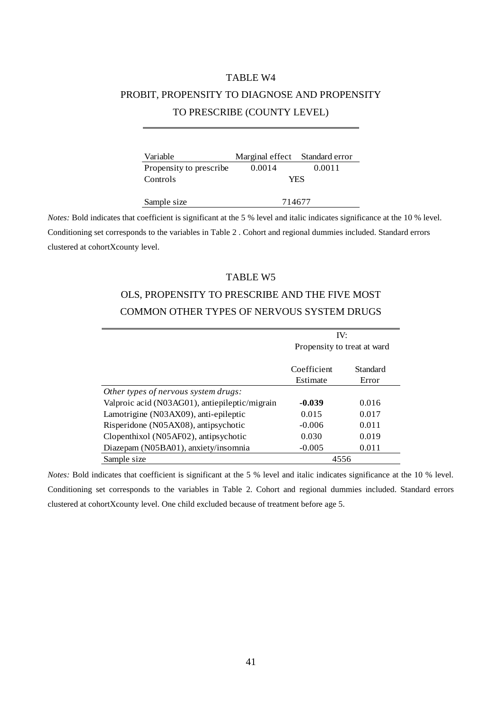### PROBIT, PROPENSITY TO DIAGNOSE AND PROPENSITY TO PRESCRIBE (COUNTY LEVEL)

| Variable                | Marginal effect Standard error |        |  |
|-------------------------|--------------------------------|--------|--|
| Propensity to prescribe | 0.0014                         | 0.0011 |  |
| Controls                | YES                            |        |  |
| Sample size             | 714677                         |        |  |

*Notes:* Bold indicates that coefficient is significant at the 5 % level and italic indicates significance at the 10 % level. Conditioning set corresponds to the variables in Table 2 . Cohort and regional dummies included. Standard errors clustered at cohortXcounty level.

#### TABLE W5

# OLS, PROPENSITY TO PRESCRIBE AND THE FIVE MOST COMMON OTHER TYPES OF NERVOUS SYSTEM DRUGS

|                                                | IV:                         |          |  |
|------------------------------------------------|-----------------------------|----------|--|
|                                                | Propensity to treat at ward |          |  |
|                                                | Coefficient                 | Standard |  |
|                                                | Estimate                    | Error    |  |
| Other types of nervous system drugs:           |                             |          |  |
| Valproic acid (N03AG01), antiepileptic/migrain | $-0.039$                    | 0.016    |  |
| Lamotrigine (N03AX09), anti-epileptic          | 0.015                       | 0.017    |  |
| Risperidone (N05AX08), antipsychotic           | $-0.006$                    | 0.011    |  |
| Clopenthixol (N05AF02), antipsychotic          | 0.030                       | 0.019    |  |
| Diazepam (N05BA01), anxiety/insomnia           | $-0.005$                    | 0.011    |  |
| Sample size                                    | 4556                        |          |  |

*Notes:* Bold indicates that coefficient is significant at the 5 % level and italic indicates significance at the 10 % level. Conditioning set corresponds to the variables in Table 2. Cohort and regional dummies included. Standard errors clustered at cohortXcounty level. One child excluded because of treatment before age 5.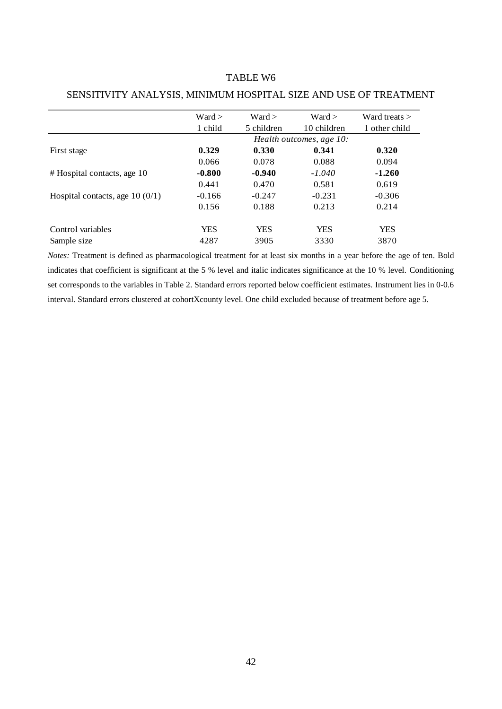|                                  | Ward >   | Ward >                   | Ward >      | Ward treats $>$ |  |
|----------------------------------|----------|--------------------------|-------------|-----------------|--|
|                                  | 1 child  | 5 children               | 10 children | 1 other child   |  |
|                                  |          | Health outcomes, age 10: |             |                 |  |
| First stage                      | 0.329    | 0.330                    | 0.341       | 0.320           |  |
|                                  | 0.066    | 0.078                    | 0.088       | 0.094           |  |
| # Hospital contacts, age 10      | $-0.800$ | $-0.940$                 | $-1.040$    | $-1.260$        |  |
|                                  | 0.441    | 0.470                    | 0.581       | 0.619           |  |
| Hospital contacts, age $10(0/1)$ | $-0.166$ | $-0.247$                 | $-0.231$    | $-0.306$        |  |
|                                  | 0.156    | 0.188                    | 0.213       | 0.214           |  |
| Control variables                | YES      | <b>YES</b>               | <b>YES</b>  | <b>YES</b>      |  |
| Sample size                      | 4287     | 3905                     | 3330        | 3870            |  |

### SENSITIVITY ANALYSIS, MINIMUM HOSPITAL SIZE AND USE OF TREATMENT

*Notes:* Treatment is defined as pharmacological treatment for at least six months in a year before the age of ten. Bold indicates that coefficient is significant at the 5 % level and italic indicates significance at the 10 % level. Conditioning set corresponds to the variables in Table 2. Standard errors reported below coefficient estimates. Instrument lies in 0-0.6 interval. Standard errors clustered at cohortXcounty level. One child excluded because of treatment before age 5.